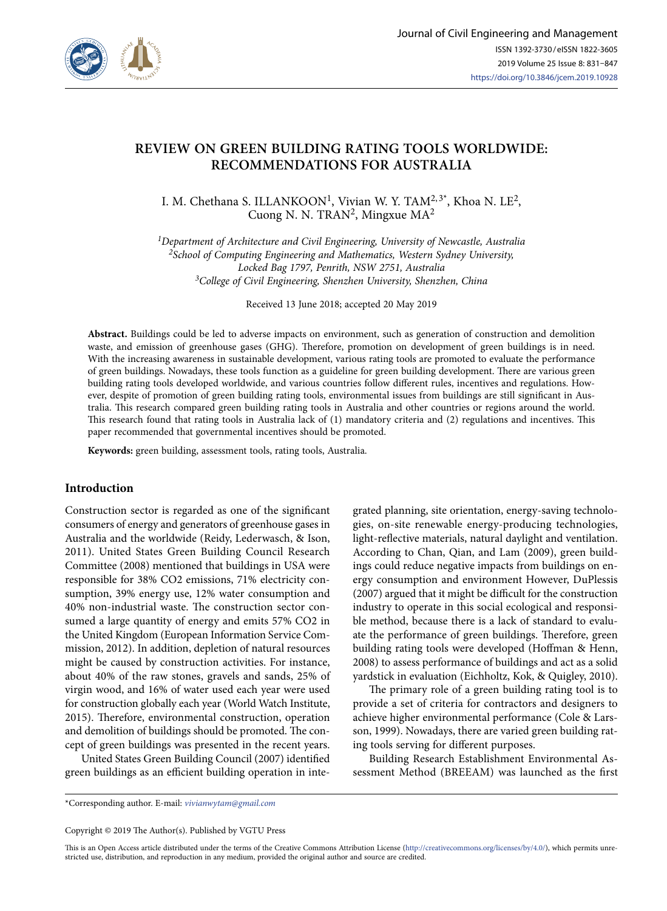

# **REVIEW ON GREEN BUILDING RATING TOOLS WORLDWIDE: RECOMMENDATIONS FOR AUSTRALIA**

I. M. Chethana S. ILLANKOON<sup>1</sup>, Vivian W. Y. TAM<sup>2,3\*</sup>, Khoa N. LE<sup>2</sup>, Cuong N. N. TRAN<sup>2</sup>, Mingxue MA<sup>2</sup>

*1Department of Architecture and Civil Engineering, University of Newcastle, Australia 2School of Computing Engineering and Mathematics, Western Sydney University, Locked Bag 1797, Penrith, NSW 2751, Australia 3College of Civil Engineering, Shenzhen University, Shenzhen, China*

Received 13 June 2018; accepted 20 May 2019

**Abstract.** Buildings could be led to adverse impacts on environment, such as generation of construction and demolition waste, and emission of greenhouse gases (GHG). Therefore, promotion on development of green buildings is in need. With the increasing awareness in sustainable development, various rating tools are promoted to evaluate the performance of green buildings. Nowadays, these tools function as a guideline for green building development. There are various green building rating tools developed worldwide, and various countries follow different rules, incentives and regulations. However, despite of promotion of green building rating tools, environmental issues from buildings are still significant in Australia. This research compared green building rating tools in Australia and other countries or regions around the world. This research found that rating tools in Australia lack of (1) mandatory criteria and (2) regulations and incentives. This paper recommended that governmental incentives should be promoted.

**Keywords:** green building, assessment tools, rating tools, Australia.

# **Introduction**

Construction sector is regarded as one of the significant consumers of energy and generators of greenhouse gases in Australia and the worldwide (Reidy, Lederwasch, & Ison, 2011). United States Green Building Council Research Committee (2008) mentioned that buildings in USA were responsible for 38% CO2 emissions, 71% electricity consumption, 39% energy use, 12% water consumption and 40% non-industrial waste. The construction sector consumed a large quantity of energy and emits 57% CO2 in the United Kingdom (European Information Service Commission, 2012). In addition, depletion of natural resources might be caused by construction activities. For instance, about 40% of the raw stones, gravels and sands, 25% of virgin wood, and 16% of water used each year were used for construction globally each year (World Watch Institute, 2015). Therefore, environmental construction, operation and demolition of buildings should be promoted. The concept of green buildings was presented in the recent years.

United States Green Building Council (2007) identified green buildings as an efficient building operation in integrated planning, site orientation, energy-saving technologies, on-site renewable energy-producing technologies, light-reflective materials, natural daylight and ventilation. According to Chan, Qian, and Lam (2009), green buildings could reduce negative impacts from buildings on energy consumption and environment However, DuPlessis (2007) argued that it might be difficult for the construction industry to operate in this social ecological and responsible method, because there is a lack of standard to evaluate the performance of green buildings. Therefore, green building rating tools were developed (Hoffman & Henn, 2008) to assess performance of buildings and act as a solid yardstick in evaluation (Eichholtz, Kok, & Quigley, 2010).

The primary role of a green building rating tool is to provide a set of criteria for contractors and designers to achieve higher environmental performance (Cole & Larsson, 1999). Nowadays, there are varied green building rating tools serving for different purposes.

Building Research Establishment Environmental Assessment Method (BREEAM) was launched as the first

\*Corresponding author. E-mail: *vivianwytam@gmail.com*

Copyright © 2019 The Author(s). Published by VGTU Press

This is an Open Access article distributed under the terms of the Creative Commons Attribution License (<http://creativecommons.org/licenses/by/4.0/>), which permits unrestricted use, distribution, and reproduction in any medium, provided the original author and source are credited.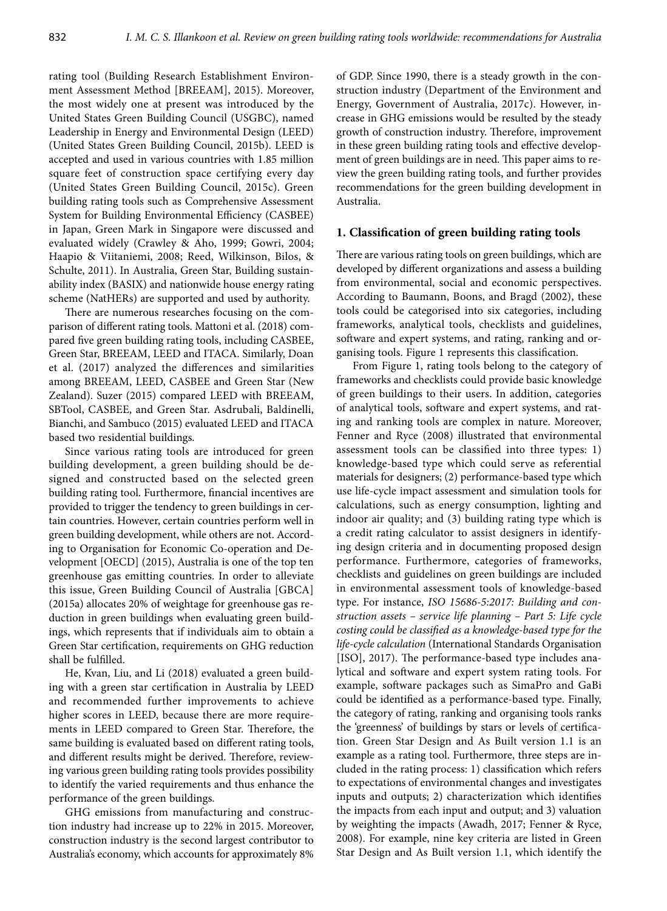rating tool (Building Research Establishment Environment Assessment Method [BREEAM], 2015). Moreover, the most widely one at present was introduced by the United States Green Building Council (USGBC), named Leadership in Energy and Environmental Design (LEED) (United States Green Building Council, 2015b). LEED is accepted and used in various countries with 1.85 million square feet of construction space certifying every day (United States Green Building Council, 2015c). Green building rating tools such as Comprehensive Assessment System for Building Environmental Efficiency (CASBEE) in Japan, Green Mark in Singapore were discussed and evaluated widely (Crawley & Aho, 1999; Gowri, 2004; Haapio & Viitaniemi, 2008; Reed, Wilkinson, Bilos, & Schulte, 2011). In Australia, Green Star, Building sustainability index (BASIX) and nationwide house energy rating scheme (NatHERs) are supported and used by authority.

There are numerous researches focusing on the comparison of different rating tools. Mattoni et al. (2018) compared five green building rating tools, including CASBEE, Green Star, BREEAM, LEED and ITACA. Similarly, Doan et al. (2017) analyzed the differences and similarities among BREEAM, LEED, CASBEE and Green Star (New Zealand). Suzer (2015) compared LEED with BREEAM, SBTool, CASBEE, and Green Star. Asdrubali, Baldinelli, Bianchi, and Sambuco (2015) evaluated LEED and ITACA based two residential buildings.

Since various rating tools are introduced for green building development, a green building should be designed and constructed based on the selected green building rating tool. Furthermore, financial incentives are provided to trigger the tendency to green buildings in certain countries. However, certain countries perform well in green building development, while others are not. According to Organisation for Economic Co-operation and Development [OECD] (2015), Australia is one of the top ten greenhouse gas emitting countries. In order to alleviate this issue, Green Building Council of Australia [GBCA] (2015a) allocates 20% of weightage for greenhouse gas reduction in green buildings when evaluating green buildings, which represents that if individuals aim to obtain a Green Star certification, requirements on GHG reduction shall be fulfilled.

He, Kvan, Liu, and Li (2018) evaluated a green building with a green star certification in Australia by LEED and recommended further improvements to achieve higher scores in LEED, because there are more requirements in LEED compared to Green Star. Therefore, the same building is evaluated based on different rating tools, and different results might be derived. Therefore, reviewing various green building rating tools provides possibility to identify the varied requirements and thus enhance the performance of the green buildings.

GHG emissions from manufacturing and construction industry had increase up to 22% in 2015. Moreover, construction industry is the second largest contributor to Australia's economy, which accounts for approximately 8% of GDP. Since 1990, there is a steady growth in the construction industry (Department of the Environment and Energy, Government of Australia, 2017c). However, increase in GHG emissions would be resulted by the steady growth of construction industry. Therefore, improvement in these green building rating tools and effective development of green buildings are in need. This paper aims to review the green building rating tools, and further provides recommendations for the green building development in Australia.

### **1. Classification of green building rating tools**

There are various rating tools on green buildings, which are developed by different organizations and assess a building from environmental, social and economic perspectives. According to Baumann, Boons, and Bragd (2002), these tools could be categorised into six categories, including frameworks, analytical tools, checklists and guidelines, software and expert systems, and rating, ranking and organising tools. [Figure 1](#page-2-0) represents this classification.

From Figure 1, rating tools belong to the category of frameworks and checklists could provide basic knowledge of green buildings to their users. In addition, categories of analytical tools, software and expert systems, and rating and ranking tools are complex in nature. Moreover, Fenner and Ryce (2008) illustrated that environmental assessment tools can be classified into three types: 1) knowledge-based type which could serve as referential materials for designers; (2) performance-based type which use life-cycle impact assessment and simulation tools for calculations, such as energy consumption, lighting and indoor air quality; and (3) building rating type which is a credit rating calculator to assist designers in identifying design criteria and in documenting proposed design performance. Furthermore, categories of frameworks, checklists and guidelines on green buildings are included in environmental assessment tools of knowledge-based type. For instance, *ISO 15686-5:2017: Building and construction assets – service life planning – Part 5: Life cycle costing could be classified as a knowledge-based type for the life-cycle calculation* (International Standards Organisation [ISO], 2017). The performance-based type includes analytical and software and expert system rating tools. For example, software packages such as SimaPro and GaBi could be identified as a performance-based type. Finally, the category of rating, ranking and organising tools ranks the 'greenness' of buildings by stars or levels of certification. Green Star Design and As Built version 1.1 is an example as a rating tool. Furthermore, three steps are included in the rating process: 1) classification which refers to expectations of environmental changes and investigates inputs and outputs; 2) characterization which identifies the impacts from each input and output; and 3) valuation by weighting the impacts (Awadh, 2017; Fenner & Ryce, 2008). For example, nine key criteria are listed in Green Star Design and As Built version 1.1, which identify the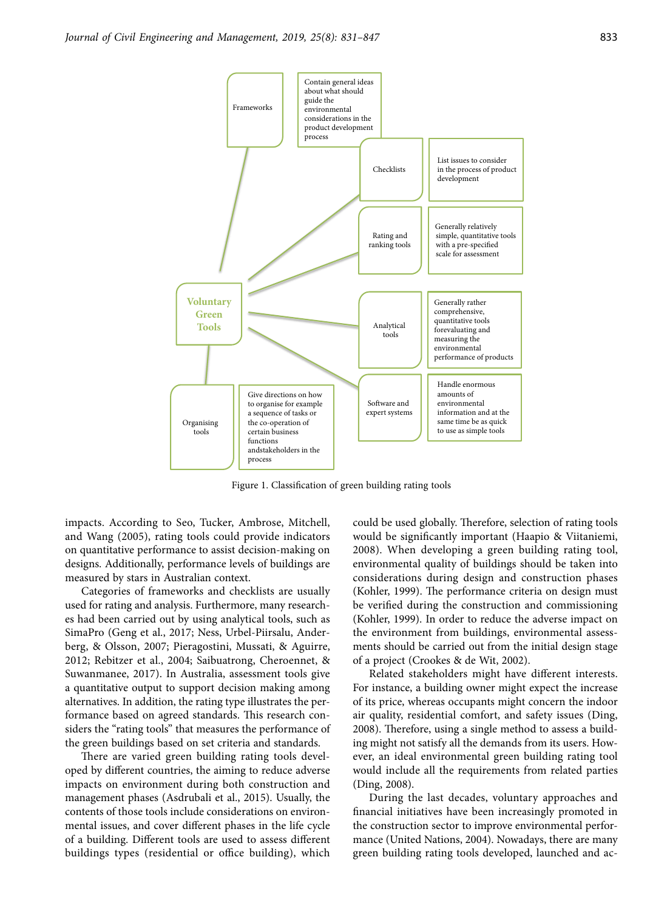

Figure 1. Classification of green building rating tools

impacts. According to Seo, Tucker, Ambrose, Mitchell, and Wang (2005), rating tools could provide indicators on quantitative performance to assist decision-making on designs. Additionally, performance levels of buildings are measured by stars in Australian context.

Categories of frameworks and checklists are usually used for rating and analysis. Furthermore, many researches had been carried out by using analytical tools, such as SimaPro (Geng et al., 2017; Ness, Urbel-Piirsalu, Anderberg, & Olsson, 2007; Pieragostini, Mussati, & Aguirre, 2012; Rebitzer et al., 2004; Saibuatrong, Cheroennet, & Suwanmanee, 2017). In Australia, assessment tools give a quantitative output to support decision making among alternatives. In addition, the rating type illustrates the performance based on agreed standards. This research considers the "rating tools" that measures the performance of the green buildings based on set criteria and standards.

There are varied green building rating tools developed by different countries, the aiming to reduce adverse impacts on environment during both construction and management phases (Asdrubali et al., 2015). Usually, the contents of those tools include considerations on environmental issues, and cover different phases in the life cycle of a building. Different tools are used to assess different buildings types (residential or office building), which <span id="page-2-0"></span>could be used globally. Therefore, selection of rating tools would be significantly important (Haapio & Viitaniemi, 2008). When developing a green building rating tool, environmental quality of buildings should be taken into considerations during design and construction phases (Kohler, 1999). The performance criteria on design must be verified during the construction and commissioning (Kohler, 1999). In order to reduce the adverse impact on the environment from buildings, environmental assessments should be carried out from the initial design stage of a project (Crookes & de Wit, 2002).

Related stakeholders might have different interests. For instance, a building owner might expect the increase of its price, whereas occupants might concern the indoor air quality, residential comfort, and safety issues (Ding, 2008). Therefore, using a single method to assess a building might not satisfy all the demands from its users. However, an ideal environmental green building rating tool would include all the requirements from related parties (Ding, 2008).

During the last decades, voluntary approaches and financial initiatives have been increasingly promoted in the construction sector to improve environmental performance (United Nations, 2004). Nowadays, there are many green building rating tools developed, launched and ac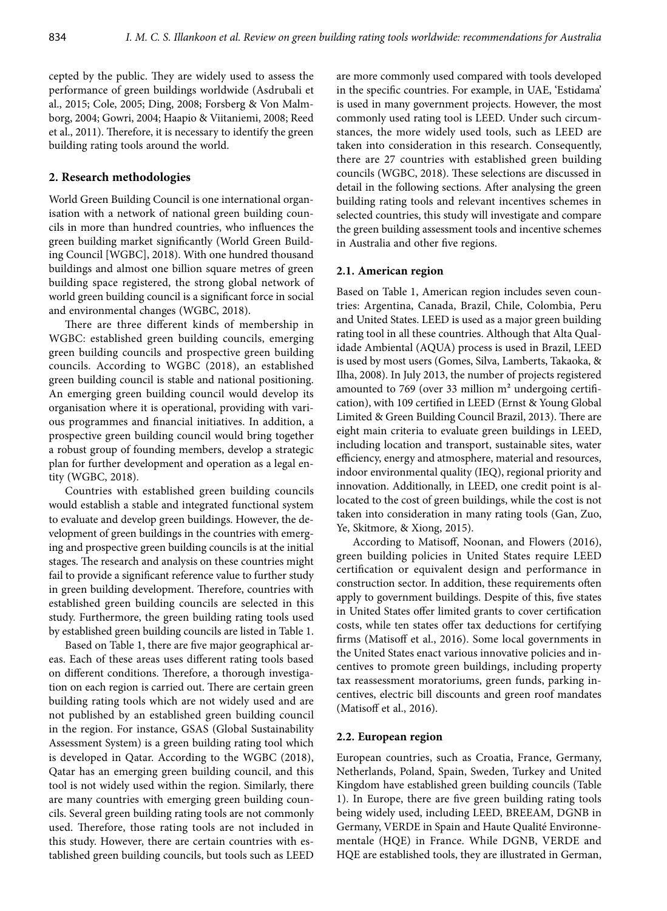cepted by the public. They are widely used to assess the performance of green buildings worldwide (Asdrubali et al., 2015; Cole, 2005; Ding, 2008; Forsberg & Von Malmborg, 2004; Gowri, 2004; Haapio & Viitaniemi, 2008; Reed et al., 2011). Therefore, it is necessary to identify the green building rating tools around the world.

### **2. Research methodologies**

World Green Building Council is one international organisation with a network of national green building councils in more than hundred countries, who influences the green building market significantly (World Green Building Council [WGBC], 2018). With one hundred thousand buildings and almost one billion square metres of green building space registered, the strong global network of world green building council is a significant force in social and environmental changes (WGBC, 2018).

There are three different kinds of membership in WGBC: established green building councils, emerging green building councils and prospective green building councils. According to WGBC (2018), an established green building council is stable and national positioning. An emerging green building council would develop its organisation where it is operational, providing with various programmes and financial initiatives. In addition, a prospective green building council would bring together a robust group of founding members, develop a strategic plan for further development and operation as a legal entity (WGBC, 2018).

Countries with established green building councils would establish a stable and integrated functional system to evaluate and develop green buildings. However, the development of green buildings in the countries with emerging and prospective green building councils is at the initial stages. The research and analysis on these countries might fail to provide a significant reference value to further study in green building development. Therefore, countries with established green building councils are selected in this study. Furthermore, the green building rating tools used by established green building councils are listed in Table 1.

Based on Table 1, there are five major geographical areas. Each of these areas uses different rating tools based on different conditions. Therefore, a thorough investigation on each region is carried out. There are certain green building rating tools which are not widely used and are not published by an established green building council in the region. For instance, GSAS (Global Sustainability Assessment System) is a green building rating tool which is developed in Qatar. According to the WGBC (2018), Qatar has an emerging green building council, and this tool is not widely used within the region. Similarly, there are many countries with emerging green building councils. Several green building rating tools are not commonly used. Therefore, those rating tools are not included in this study. However, there are certain countries with established green building councils, but tools such as LEED

are more commonly used compared with tools developed in the specific countries. For example, in UAE, 'Estidama' is used in many government projects. However, the most commonly used rating tool is LEED. Under such circumstances, the more widely used tools, such as LEED are taken into consideration in this research. Consequently, there are 27 countries with established green building councils (WGBC, 2018). These selections are discussed in detail in the following sections. After analysing the green building rating tools and relevant incentives schemes in selected countries, this study will investigate and compare the green building assessment tools and incentive schemes in Australia and other five regions.

#### **2.1. American region**

Based on Table 1, American region includes seven countries: Argentina, Canada, Brazil, Chile, Colombia, Peru and United States. LEED is used as a major green building rating tool in all these countries. Although that Alta Qualidade Ambiental (AQUA) process is used in Brazil, LEED is used by most users (Gomes, Silva, Lamberts, Takaoka, & Ilha, 2008). In July 2013, the number of projects registered amounted to 769 (over 33 million m² undergoing certification), with 109 certified in LEED (Ernst & Young Global Limited & Green Building Council Brazil, 2013). There are eight main criteria to evaluate green buildings in LEED, including location and transport, sustainable sites, water efficiency, energy and atmosphere, material and resources, indoor environmental quality (IEQ), regional priority and innovation. Additionally, in LEED, one credit point is allocated to the cost of green buildings, while the cost is not taken into consideration in many rating tools (Gan, Zuo, Ye, Skitmore, & Xiong, 2015).

According to Matisoff, Noonan, and Flowers (2016), green building policies in United States require LEED certification or equivalent design and performance in construction sector. In addition, these requirements often apply to government buildings. Despite of this, five states in United States offer limited grants to cover certification costs, while ten states offer tax deductions for certifying firms (Matisoff et al., 2016). Some local governments in the United States enact various innovative policies and incentives to promote green buildings, including property tax reassessment moratoriums, green funds, parking incentives, electric bill discounts and green roof mandates (Matisoff et al., 2016).

#### **2.2. European region**

European countries, such as Croatia, France, Germany, Netherlands, Poland, Spain, Sweden, Turkey and United Kingdom have established green building councils (Table 1). In Europe, there are five green building rating tools being widely used, including LEED, BREEAM, DGNB in Germany, VERDE in Spain and Haute Qualité Environnementale (HQE) in France. While DGNB, VERDE and HQE are established tools, they are illustrated in German,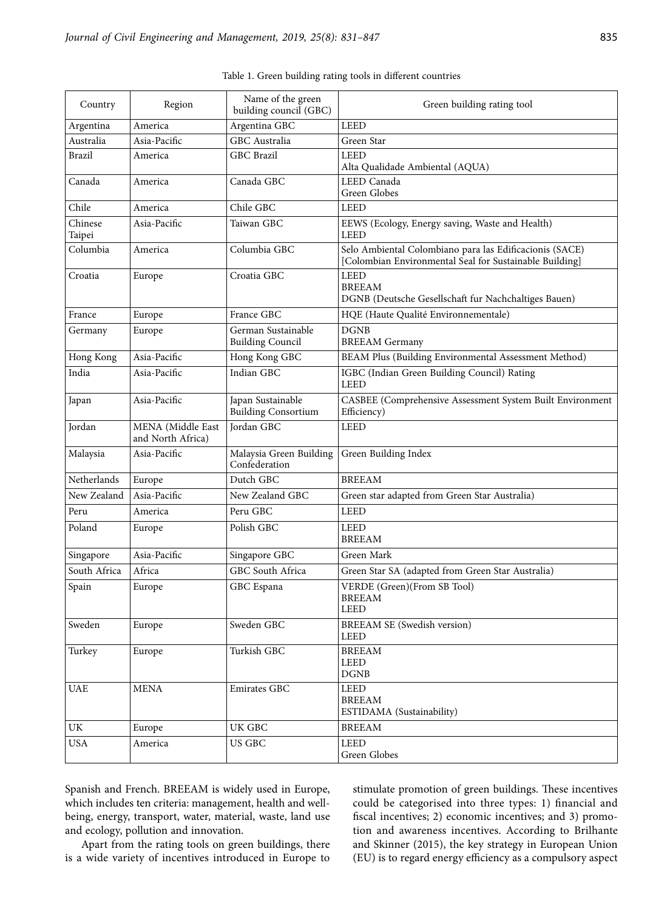| Country           | Region                                 | Name of the green<br>building council (GBC)     | Green building rating tool                                                                                         |
|-------------------|----------------------------------------|-------------------------------------------------|--------------------------------------------------------------------------------------------------------------------|
| Argentina         | America                                | Argentina GBC                                   | <b>LEED</b>                                                                                                        |
| Australia         | Asia-Pacific                           | <b>GBC</b> Australia                            | Green Star                                                                                                         |
| Brazil            | America                                | GBC Brazil                                      | <b>LEED</b><br>Alta Qualidade Ambiental (AQUA)                                                                     |
| Canada            | America                                | Canada GBC                                      | LEED Canada<br>Green Globes                                                                                        |
| Chile             | America                                | Chile GBC                                       | <b>LEED</b>                                                                                                        |
| Chinese<br>Taipei | Asia-Pacific                           | Taiwan GBC                                      | EEWS (Ecology, Energy saving, Waste and Health)<br><b>LEED</b>                                                     |
| Columbia          | America                                | Columbia GBC                                    | Selo Ambiental Colombiano para las Edificacionis (SACE)<br>[Colombian Environmental Seal for Sustainable Building] |
| Croatia           | Europe                                 | Croatia GBC                                     | <b>LEED</b><br><b>BREEAM</b><br>DGNB (Deutsche Gesellschaft fur Nachchaltiges Bauen)                               |
| France            | Europe                                 | France GBC                                      | HQE (Haute Qualité Environnementale)                                                                               |
| Germany           | Europe                                 | German Sustainable<br><b>Building Council</b>   | <b>DGNB</b><br><b>BREEAM</b> Germany                                                                               |
| Hong Kong         | Asia-Pacific                           | Hong Kong GBC                                   | BEAM Plus (Building Environmental Assessment Method)                                                               |
| India             | Asia-Pacific                           | Indian GBC                                      | IGBC (Indian Green Building Council) Rating<br><b>LEED</b>                                                         |
| Japan             | Asia-Pacific                           | Japan Sustainable<br><b>Building Consortium</b> | CASBEE (Comprehensive Assessment System Built Environment<br>Efficiency)                                           |
| Jordan            | MENA (Middle East<br>and North Africa) | <b>Jordan GBC</b>                               | <b>LEED</b>                                                                                                        |
| Malaysia          | Asia-Pacific                           | Malaysia Green Building<br>Confederation        | Green Building Index                                                                                               |
| Netherlands       | Europe                                 | Dutch GBC                                       | <b>BREEAM</b>                                                                                                      |
| New Zealand       | Asia-Pacific                           | New Zealand GBC                                 | Green star adapted from Green Star Australia)                                                                      |
| Peru              | America                                | Peru GBC                                        | <b>LEED</b>                                                                                                        |
| Poland            | Europe                                 | Polish GBC                                      | <b>LEED</b><br><b>BREEAM</b>                                                                                       |
| Singapore         | Asia-Pacific                           | Singapore GBC                                   | Green Mark                                                                                                         |
| South Africa      | Africa                                 | GBC South Africa                                | Green Star SA (adapted from Green Star Australia)                                                                  |
| Spain             | Europe                                 | GBC Espana                                      | VERDE (Green)(From SB Tool)<br><b>BREEAM</b><br><b>LEED</b>                                                        |
| Sweden            | Europe                                 | Sweden GBC                                      | <b>BREEAM SE (Swedish version)</b><br><b>LEED</b>                                                                  |
| Turkey            | Europe                                 | Turkish GBC                                     | <b>BREEAM</b><br><b>LEED</b><br>$\rm DGNB$                                                                         |
| <b>UAE</b>        | <b>MENA</b>                            | Emirates GBC                                    | LEED<br><b>BREEAM</b><br>ESTIDAMA (Sustainability)                                                                 |
| UK                | Europe                                 | UK GBC                                          | <b>BREEAM</b>                                                                                                      |
| <b>USA</b>        | America                                | <b>US GBC</b>                                   | <b>LEED</b><br>Green Globes                                                                                        |

|  | Table 1. Green building rating tools in different countries |  |  |  |  |
|--|-------------------------------------------------------------|--|--|--|--|
|--|-------------------------------------------------------------|--|--|--|--|

Spanish and French. BREEAM is widely used in Europe, which includes ten criteria: management, health and wellbeing, energy, transport, water, material, waste, land use and ecology, pollution and innovation.

Apart from the rating tools on green buildings, there is a wide variety of incentives introduced in Europe to stimulate promotion of green buildings. These incentives could be categorised into three types: 1) financial and fiscal incentives; 2) economic incentives; and 3) promotion and awareness incentives. According to Brilhante and Skinner (2015), the key strategy in European Union (EU) is to regard energy efficiency as a compulsory aspect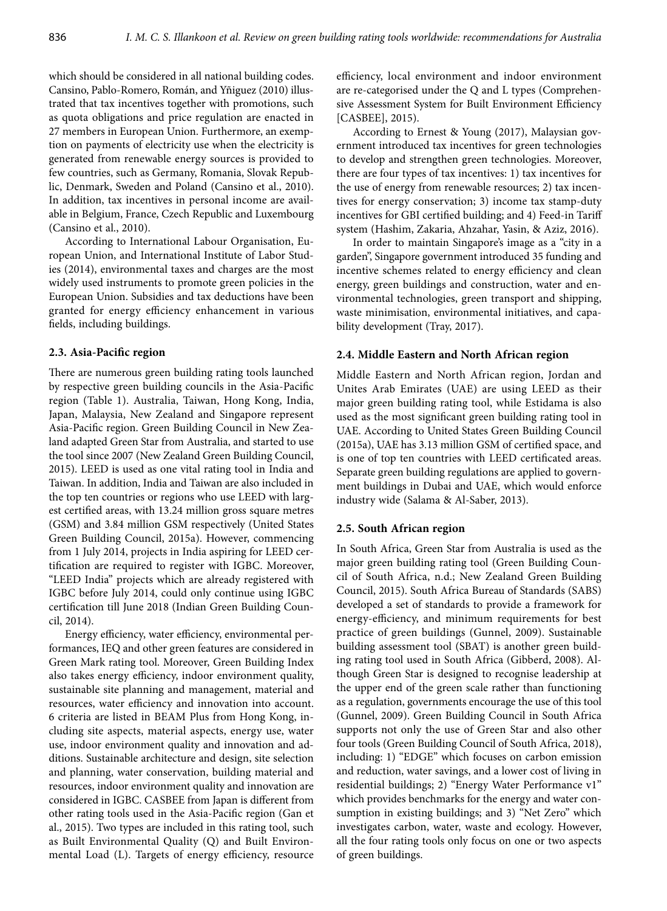which should be considered in all national building codes. Cansino, Pablo-Romero, Román, and Yñiguez (2010) illustrated that tax incentives together with promotions, such as quota obligations and price regulation are enacted in 27 members in European Union. Furthermore, an exemption on payments of electricity use when the electricity is generated from renewable energy sources is provided to few countries, such as Germany, Romania, Slovak Republic, Denmark, Sweden and Poland (Cansino et al., 2010). In addition, tax incentives in personal income are available in Belgium, France, Czech Republic and Luxembourg (Cansino et al., 2010).

According to International Labour Organisation, European Union, and International Institute of Labor Studies (2014), environmental taxes and charges are the most widely used instruments to promote green policies in the European Union. Subsidies and tax deductions have been granted for energy efficiency enhancement in various fields, including buildings.

# **2.3. Asia-Pacific region**

There are numerous green building rating tools launched by respective green building councils in the Asia-Pacific region (Table 1). Australia, Taiwan, Hong Kong, India, Japan, Malaysia, New Zealand and Singapore represent Asia-Pacific region. Green Building Council in New Zealand adapted Green Star from Australia, and started to use the tool since 2007 (New Zealand Green Building Council, 2015). LEED is used as one vital rating tool in India and Taiwan. In addition, India and Taiwan are also included in the top ten countries or regions who use LEED with largest certified areas, with 13.24 million gross square metres (GSM) and 3.84 million GSM respectively (United States Green Building Council, 2015a). However, commencing from 1 July 2014, projects in India aspiring for LEED certification are required to register with IGBC. Moreover, "LEED India" projects which are already registered with IGBC before July 2014, could only continue using IGBC certification till June 2018 (Indian Green Building Council, 2014).

Energy efficiency, water efficiency, environmental performances, IEQ and other green features are considered in Green Mark rating tool. Moreover, Green Building Index also takes energy efficiency, indoor environment quality, sustainable site planning and management, material and resources, water efficiency and innovation into account. 6 criteria are listed in BEAM Plus from Hong Kong, including site aspects, material aspects, energy use, water use, indoor environment quality and innovation and additions. Sustainable architecture and design, site selection and planning, water conservation, building material and resources, indoor environment quality and innovation are considered in IGBC. CASBEE from Japan is different from other rating tools used in the Asia-Pacific region (Gan et al., 2015). Two types are included in this rating tool, such as Built Environmental Quality (Q) and Built Environmental Load (L). Targets of energy efficiency, resource efficiency, local environment and indoor environment are re-categorised under the Q and L types (Comprehensive Assessment System for Built Environment Efficiency [CASBEE], 2015).

According to Ernest & Young (2017), Malaysian government introduced tax incentives for green technologies to develop and strengthen green technologies. Moreover, there are four types of tax incentives: 1) tax incentives for the use of energy from renewable resources; 2) tax incentives for energy conservation; 3) income tax stamp-duty incentives for GBI certified building; and 4) Feed-in Tariff system (Hashim, Zakaria, Ahzahar, Yasin, & Aziz, 2016).

In order to maintain Singapore's image as a "city in a garden", Singapore government introduced 35 funding and incentive schemes related to energy efficiency and clean energy, green buildings and construction, water and environmental technologies, green transport and shipping, waste minimisation, environmental initiatives, and capability development (Tray, 2017).

# **2.4. Middle Eastern and North African region**

Middle Eastern and North African region, Jordan and Unites Arab Emirates (UAE) are using LEED as their major green building rating tool, while Estidama is also used as the most significant green building rating tool in UAE. According to United States Green Building Council (2015a), UAE has 3.13 million GSM of certified space, and is one of top ten countries with LEED certificated areas. Separate green building regulations are applied to government buildings in Dubai and UAE, which would enforce industry wide (Salama & Al-Saber, 2013).

# **2.5. South African region**

In South Africa, Green Star from Australia is used as the major green building rating tool (Green Building Council of South Africa, n.d.; New Zealand Green Building Council, 2015). South Africa Bureau of Standards (SABS) developed a set of standards to provide a framework for energy-efficiency, and minimum requirements for best practice of green buildings (Gunnel, 2009). Sustainable building assessment tool (SBAT) is another green building rating tool used in South Africa (Gibberd, 2008). Although Green Star is designed to recognise leadership at the upper end of the green scale rather than functioning as a regulation, governments encourage the use of this tool (Gunnel, 2009). Green Building Council in South Africa supports not only the use of Green Star and also other four tools (Green Building Council of South Africa, 2018), including: 1) "EDGE" which focuses on carbon emission and reduction, water savings, and a lower cost of living in residential buildings; 2) "Energy Water Performance v1" which provides benchmarks for the energy and water consumption in existing buildings; and 3) "Net Zero" which investigates carbon, water, waste and ecology. However, all the four rating tools only focus on one or two aspects of green buildings.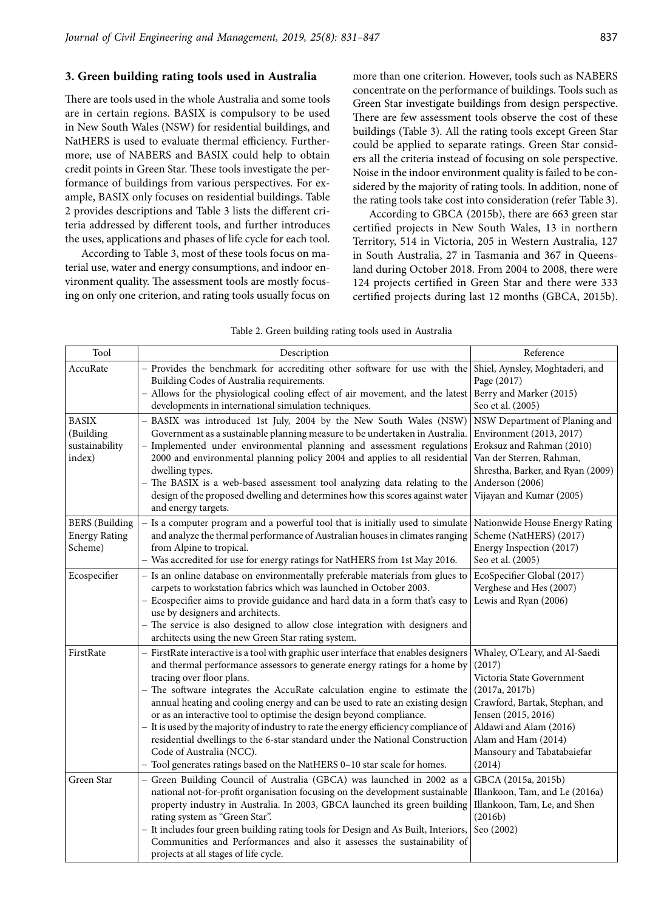### **3. Green building rating tools used in Australia**

There are tools used in the whole Australia and some tools are in certain regions. BASIX is compulsory to be used in New South Wales (NSW) for residential buildings, and NatHERS is used to evaluate thermal efficiency. Furthermore, use of NABERS and BASIX could help to obtain credit points in Green Star. These tools investigate the performance of buildings from various perspectives. For example, BASIX only focuses on residential buildings. Table 2 provides descriptions and Table 3 lists the different criteria addressed by different tools, and further introduces the uses, applications and phases of life cycle for each tool.

According to Table 3, most of these tools focus on material use, water and energy consumptions, and indoor environment quality. The assessment tools are mostly focusing on only one criterion, and rating tools usually focus on more than one criterion. However, tools such as NABERS concentrate on the performance of buildings. Tools such as Green Star investigate buildings from design perspective. There are few assessment tools observe the cost of these buildings (Table 3). All the rating tools except Green Star could be applied to separate ratings. Green Star considers all the criteria instead of focusing on sole perspective. Noise in the indoor environment quality is failed to be considered by the majority of rating tools. In addition, none of the rating tools take cost into consideration (refer Table 3).

According to GBCA (2015b), there are 663 green star certified projects in New South Wales, 13 in northern Territory, 514 in Victoria, 205 in Western Australia, 127 in South Australia, 27 in Tasmania and 367 in Queensland during October 2018. From 2004 to 2008, there were 124 projects certified in Green Star and there were 333 certified projects during last 12 months (GBCA, 2015b).

| Tool                                                     | Description                                                                                                                                                                                                                                                                                                                                                                                                                                                                                                                                                                                                                                                                                                     | Reference                                                                                                                                                                                                                                |
|----------------------------------------------------------|-----------------------------------------------------------------------------------------------------------------------------------------------------------------------------------------------------------------------------------------------------------------------------------------------------------------------------------------------------------------------------------------------------------------------------------------------------------------------------------------------------------------------------------------------------------------------------------------------------------------------------------------------------------------------------------------------------------------|------------------------------------------------------------------------------------------------------------------------------------------------------------------------------------------------------------------------------------------|
| AccuRate                                                 | - Provides the benchmark for accrediting other software for use with the Shiel, Aynsley, Moghtaderi, and<br>Building Codes of Australia requirements.<br>- Allows for the physiological cooling effect of air movement, and the latest Berry and Marker (2015)<br>developments in international simulation techniques.                                                                                                                                                                                                                                                                                                                                                                                          | Page (2017)<br>Seo et al. (2005)                                                                                                                                                                                                         |
| <b>BASIX</b><br>(Building<br>sustainability<br>index)    | - BASIX was introduced 1st July, 2004 by the New South Wales (NSW)<br>Government as a sustainable planning measure to be undertaken in Australia.<br>- Implemented under environmental planning and assessment regulations<br>2000 and environmental planning policy 2004 and applies to all residential<br>dwelling types.<br>The BASIX is a web-based assessment tool analyzing data relating to the<br>design of the proposed dwelling and determines how this scores against water<br>and energy targets.                                                                                                                                                                                                   | NSW Department of Planing and<br>Environment (2013, 2017)<br>Eroksuz and Rahman (2010)<br>Van der Sterren, Rahman,<br>Shrestha, Barker, and Ryan (2009)<br>Anderson (2006)<br>Vijayan and Kumar (2005)                                   |
| <b>BERS</b> (Building<br><b>Energy Rating</b><br>Scheme) | Is a computer program and a powerful tool that is initially used to simulate<br>and analyze the thermal performance of Australian houses in climates ranging<br>from Alpine to tropical.<br>- Was accredited for use for energy ratings for NatHERS from 1st May 2016.                                                                                                                                                                                                                                                                                                                                                                                                                                          | Nationwide House Energy Rating<br>Scheme (NatHERS) (2017)<br>Energy Inspection (2017)<br>Seo et al. (2005)                                                                                                                               |
| Ecospecifier                                             | - Is an online database on environmentally preferable materials from glues to<br>carpets to workstation fabrics which was launched in October 2003.<br>- Ecospecifier aims to provide guidance and hard data in a form that's easy to<br>use by designers and architects.<br>- The service is also designed to allow close integration with designers and<br>architects using the new Green Star rating system.                                                                                                                                                                                                                                                                                                 | EcoSpecifier Global (2017)<br>Verghese and Hes (2007)<br>Lewis and Ryan (2006)                                                                                                                                                           |
| FirstRate                                                | - FirstRate interactive is a tool with graphic user interface that enables designers<br>and thermal performance assessors to generate energy ratings for a home by<br>tracing over floor plans.<br>The software integrates the AccuRate calculation engine to estimate the<br>annual heating and cooling energy and can be used to rate an existing design<br>or as an interactive tool to optimise the design beyond compliance.<br>It is used by the majority of industry to rate the energy efficiency compliance of<br>residential dwellings to the 6-star standard under the National Construction<br>Code of Australia (NCC).<br>- Tool generates ratings based on the NatHERS 0-10 star scale for homes. | Whaley, O'Leary, and Al-Saedi<br>(2017)<br>Victoria State Government<br>(2017a, 2017b)<br>Crawford, Bartak, Stephan, and<br>Jensen (2015, 2016)<br>Aldawi and Alam (2016)<br>Alam and Ham (2014)<br>Mansoury and Tabatabaiefar<br>(2014) |
| Green Star                                               | Green Building Council of Australia (GBCA) was launched in 2002 as a<br>national not-for-profit organisation focusing on the development sustainable<br>property industry in Australia. In 2003, GBCA launched its green building<br>rating system as "Green Star".<br>- It includes four green building rating tools for Design and As Built, Interiors,<br>Communities and Performances and also it assesses the sustainability of<br>projects at all stages of life cycle.                                                                                                                                                                                                                                   | GBCA (2015a, 2015b)<br>Illankoon, Tam, and Le (2016a)<br>Illankoon, Tam, Le, and Shen<br>(2016b)<br>Seo (2002)                                                                                                                           |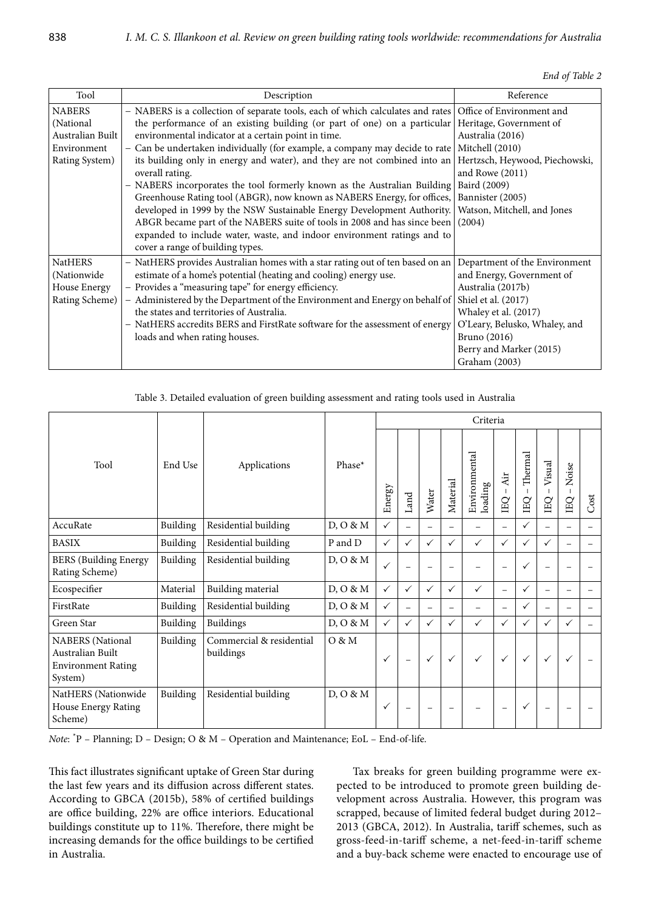|  |  | End of Table 2 |  |
|--|--|----------------|--|
|--|--|----------------|--|

| Tool             | Description                                                                                              | Reference                      |
|------------------|----------------------------------------------------------------------------------------------------------|--------------------------------|
| <b>NABERS</b>    | - NABERS is a collection of separate tools, each of which calculates and rates Office of Environment and |                                |
| (National        | the performance of an existing building (or part of one) on a particular Heritage, Government of         |                                |
| Australian Built | environmental indicator at a certain point in time.                                                      | Australia (2016)               |
| Environment      | - Can be undertaken individually (for example, a company may decide to rate                              | Mitchell (2010)                |
| Rating System)   | its building only in energy and water), and they are not combined into an                                | Hertzsch, Heywood, Piechowski, |
|                  | overall rating.                                                                                          | and Rowe (2011)                |
|                  | - NABERS incorporates the tool formerly known as the Australian Building                                 | Baird (2009)                   |
|                  | Greenhouse Rating tool (ABGR), now known as NABERS Energy, for offices,                                  | Bannister (2005)               |
|                  | developed in 1999 by the NSW Sustainable Energy Development Authority.                                   | Watson, Mitchell, and Jones    |
|                  | ABGR became part of the NABERS suite of tools in 2008 and has since been                                 | (2004)                         |
|                  | expanded to include water, waste, and indoor environment ratings and to                                  |                                |
|                  | cover a range of building types.                                                                         |                                |
| <b>NatHERS</b>   | - NatHERS provides Australian homes with a star rating out of ten based on an                            | Department of the Environment  |
| (Nationwide)     | estimate of a home's potential (heating and cooling) energy use.                                         | and Energy, Government of      |
| House Energy     | - Provides a "measuring tape" for energy efficiency.                                                     | Australia (2017b)              |
| Rating Scheme)   | - Administered by the Department of the Environment and Energy on behalf of Shiel et al. (2017)          |                                |
|                  | the states and territories of Australia.                                                                 | Whaley et al. (2017)           |
|                  | - NatHERS accredits BERS and FirstRate software for the assessment of energy                             | O'Leary, Belusko, Whaley, and  |
|                  | loads and when rating houses.                                                                            | Bruno (2016)                   |
|                  |                                                                                                          | Berry and Marker (2015)        |
|                  |                                                                                                          | Graham (2003)                  |

Table 3. Detailed evaluation of green building assessment and rating tools used in Australia

|                                                                                     |          |                                       |          |              |                          |                          |                          | Criteria                 |                          |               |                    |                                         |      |
|-------------------------------------------------------------------------------------|----------|---------------------------------------|----------|--------------|--------------------------|--------------------------|--------------------------|--------------------------|--------------------------|---------------|--------------------|-----------------------------------------|------|
| Tool                                                                                | End Use  | Applications                          | Phase*   | Energy       | Land                     | Water                    | Material                 | Environmental<br>loading | Air<br>EQ                | Thermal<br>EQ | Visual<br>-1<br>EQ | Noise<br>$\mathsf I$<br>$\overline{BC}$ | Cost |
| AccuRate                                                                            | Building | Residential building                  | D, O & M | $\checkmark$ | $\equiv$                 | $\equiv$                 | Ξ.                       | $\overline{\phantom{0}}$ | $\equiv$                 | $\checkmark$  | $\equiv$           | $\equiv$                                | $-$  |
| <b>BASIX</b>                                                                        | Building | Residential building                  | P and D  | $\checkmark$ | ✓                        | $\checkmark$             | ✓                        | ✓                        | $\checkmark$             | $\checkmark$  | ✓                  | $\overline{\phantom{0}}$                |      |
| <b>BERS</b> (Building Energy<br>Rating Scheme)                                      | Building | Residential building                  | D, O & M | $\checkmark$ |                          |                          | $\overline{\phantom{0}}$ |                          | $\overline{\phantom{0}}$ | $\checkmark$  | $\equiv$           |                                         |      |
| Ecospecifier                                                                        | Material | Building material                     | D, O & M | $\checkmark$ | ✓                        | $\checkmark$             | $\checkmark$             | $\checkmark$             | $\equiv$                 | ✓             | $\equiv$           | $\overline{\phantom{0}}$                |      |
| FirstRate                                                                           | Building | Residential building                  | D, O & M | $\checkmark$ |                          | $\equiv$                 | $\overline{\phantom{0}}$ | ÷,                       | $\overline{\phantom{0}}$ | ✓             | $\equiv$           | $\equiv$                                |      |
| Green Star                                                                          | Building | <b>Buildings</b>                      | D, O & M | $\checkmark$ | ✓                        | $\checkmark$             | $\checkmark$             | $\checkmark$             | ✓                        | $\checkmark$  | ✓                  | $\checkmark$                            |      |
| <b>NABERS</b> (National<br>Australian Built<br><b>Environment Rating</b><br>System) | Building | Commercial & residential<br>buildings | O & M    | ✓            | $\equiv$                 | $\checkmark$             | $\checkmark$             | $\checkmark$             | ✓                        | $\checkmark$  | $\checkmark$       | $\checkmark$                            |      |
| NatHERS (Nationwide<br>House Energy Rating<br>Scheme)                               | Building | Residential building                  | D, O & M | ✓            | $\overline{\phantom{0}}$ | $\overline{\phantom{0}}$ | $\overline{\phantom{a}}$ |                          | $\overline{\phantom{a}}$ | $\checkmark$  | $\equiv$           | $\overline{\phantom{0}}$                |      |

*Note*: \* P – Planning; D – Design; O & M – Operation and Maintenance; EoL – End-of-life.

This fact illustrates significant uptake of Green Star during the last few years and its diffusion across different states. According to GBCA (2015b), 58% of certified buildings are office building, 22% are office interiors. Educational buildings constitute up to 11%. Therefore, there might be increasing demands for the office buildings to be certified in Australia.

Tax breaks for green building programme were expected to be introduced to promote green building development across Australia. However, this program was scrapped, because of limited federal budget during 2012– 2013 (GBCA, 2012). In Australia, tariff schemes, such as gross-feed-in-tariff scheme, a net-feed-in-tariff scheme and a buy-back scheme were enacted to encourage use of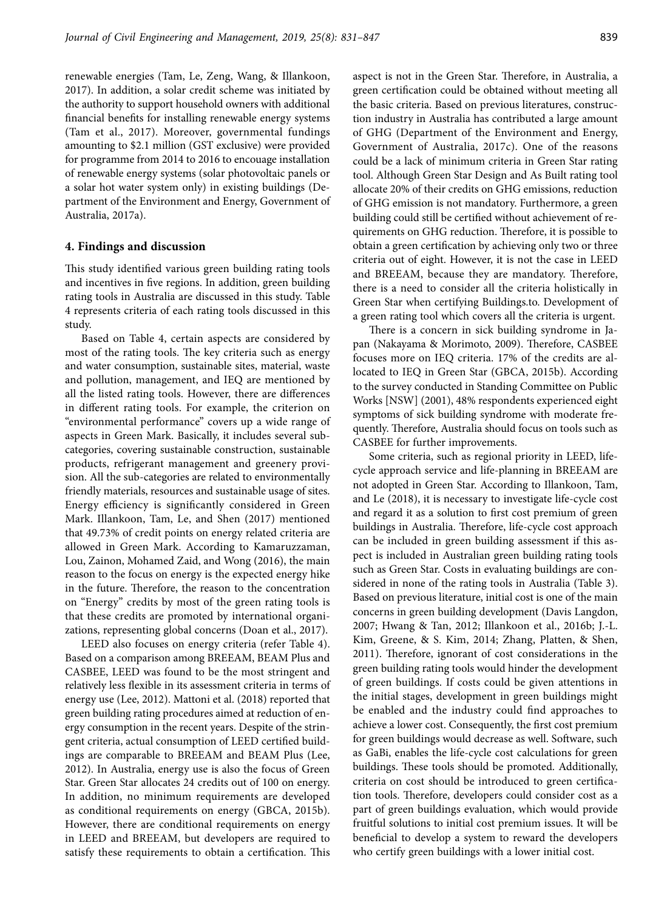renewable energies (Tam, Le, Zeng, Wang, & Illankoon, 2017). In addition, a solar credit scheme was initiated by the authority to support household owners with additional financial benefits for installing renewable energy systems (Tam et al., 2017). Moreover, governmental fundings amounting to \$2.1 million (GST exclusive) were provided for programme from 2014 to 2016 to encouage installation of renewable energy systems (solar photovoltaic panels or a solar hot water system only) in existing buildings (Department of the Environment and Energy, Government of Australia, 2017a).

### **4. Findings and discussion**

This study identified various green building rating tools and incentives in five regions. In addition, green building rating tools in Australia are discussed in this study. Table 4 represents criteria of each rating tools discussed in this study.

Based on Table 4, certain aspects are considered by most of the rating tools. The key criteria such as energy and water consumption, sustainable sites, material, waste and pollution, management, and IEQ are mentioned by all the listed rating tools. However, there are differences in different rating tools. For example, the criterion on "environmental performance" covers up a wide range of aspects in Green Mark. Basically, it includes several subcategories, covering sustainable construction, sustainable products, refrigerant management and greenery provision. All the sub-categories are related to environmentally friendly materials, resources and sustainable usage of sites. Energy efficiency is significantly considered in Green Mark. Illankoon, Tam, Le, and Shen (2017) mentioned that 49.73% of credit points on energy related criteria are allowed in Green Mark. According to Kamaruzzaman, Lou, Zainon, Mohamed Zaid, and Wong (2016), the main reason to the focus on energy is the expected energy hike in the future. Therefore, the reason to the concentration on "Energy" credits by most of the green rating tools is that these credits are promoted by international organizations, representing global concerns (Doan et al., 2017).

LEED also focuses on energy criteria (refer Table 4). Based on a comparison among BREEAM, BEAM Plus and CASBEE, LEED was found to be the most stringent and relatively less flexible in its assessment criteria in terms of energy use (Lee, 2012). Mattoni et al. (2018) reported that green building rating procedures aimed at reduction of energy consumption in the recent years. Despite of the stringent criteria, actual consumption of LEED certified buildings are comparable to BREEAM and BEAM Plus (Lee, 2012). In Australia, energy use is also the focus of Green Star. Green Star allocates 24 credits out of 100 on energy. In addition, no minimum requirements are developed as conditional requirements on energy (GBCA, 2015b). However, there are conditional requirements on energy in LEED and BREEAM, but developers are required to satisfy these requirements to obtain a certification. This

aspect is not in the Green Star. Therefore, in Australia, a green certification could be obtained without meeting all the basic criteria. Based on previous literatures, construction industry in Australia has contributed a large amount of GHG (Department of the Environment and Energy, Government of Australia, 2017c). One of the reasons could be a lack of minimum criteria in Green Star rating tool. Although Green Star Design and As Built rating tool allocate 20% of their credits on GHG emissions, reduction of GHG emission is not mandatory. Furthermore, a green building could still be certified without achievement of requirements on GHG reduction. Therefore, it is possible to obtain a green certification by achieving only two or three criteria out of eight. However, it is not the case in LEED and BREEAM, because they are mandatory. Therefore, there is a need to consider all the criteria holistically in Green Star when certifying Buildings.to. Development of a green rating tool which covers all the criteria is urgent.

There is a concern in sick building syndrome in Japan (Nakayama & Morimoto, 2009). Therefore, CASBEE focuses more on IEQ criteria. 17% of the credits are allocated to IEQ in Green Star (GBCA, 2015b). According to the survey conducted in Standing Committee on Public Works [NSW] (2001), 48% respondents experienced eight symptoms of sick building syndrome with moderate frequently. Therefore, Australia should focus on tools such as CASBEE for further improvements.

Some criteria, such as regional priority in LEED, lifecycle approach service and life-planning in BREEAM are not adopted in Green Star. According to Illankoon, Tam, and Le (2018), it is necessary to investigate life-cycle cost and regard it as a solution to first cost premium of green buildings in Australia. Therefore, life-cycle cost approach can be included in green building assessment if this aspect is included in Australian green building rating tools such as Green Star. Costs in evaluating buildings are considered in none of the rating tools in Australia (Table 3). Based on previous literature, initial cost is one of the main concerns in green building development (Davis Langdon, 2007; Hwang & Tan, 2012; Illankoon et al., 2016b; J.-L. Kim, Greene, & S. Kim, 2014; Zhang, Platten, & Shen, 2011). Therefore, ignorant of cost considerations in the green building rating tools would hinder the development of green buildings. If costs could be given attentions in the initial stages, development in green buildings might be enabled and the industry could find approaches to achieve a lower cost. Consequently, the first cost premium for green buildings would decrease as well. Software, such as GaBi, enables the life-cycle cost calculations for green buildings. These tools should be promoted. Additionally, criteria on cost should be introduced to green certification tools. Therefore, developers could consider cost as a part of green buildings evaluation, which would provide fruitful solutions to initial cost premium issues. It will be beneficial to develop a system to reward the developers who certify green buildings with a lower initial cost.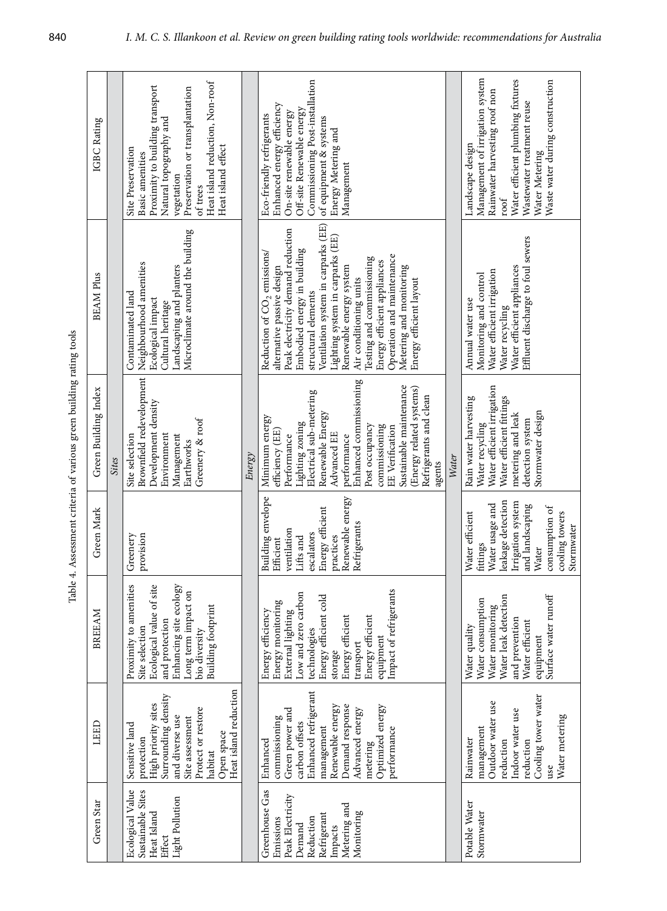| IGBC Rating          |              | Heat island reduction, Non-roof<br>Proximity to building transport<br>Preservation or transplantation<br>Natural topography and<br>Heat island effect<br>Site Preservation<br>Basic amenities<br>vegetation<br>of trees |        | Commissioning Post-installation<br>Enhanced energy efficiency<br>Off-site Renewable energy<br>On-site renewable energy<br>Eco-friendly refrigerants<br>of equipment & systems<br>Energy Metering and<br>Management                                                                                                                                                                                                                              |       | Management of irrigation system<br>Water efficient plumbing fixtures<br>Waste water during construction<br>Rainwater harvesting roof non<br>Wastewater treatment reuse<br>Landscape design<br>Water Metering<br>$_{\rm root}$ |
|----------------------|--------------|-------------------------------------------------------------------------------------------------------------------------------------------------------------------------------------------------------------------------|--------|-------------------------------------------------------------------------------------------------------------------------------------------------------------------------------------------------------------------------------------------------------------------------------------------------------------------------------------------------------------------------------------------------------------------------------------------------|-------|-------------------------------------------------------------------------------------------------------------------------------------------------------------------------------------------------------------------------------|
| <b>BEAM Plus</b>     |              | Microclimate around the building<br>Neighbourhood amenities<br>Landscaping and planters<br>Contaminated land<br>Ecological impact<br>Cultural heritage                                                                  |        | Ventilation system in carparks (EE)<br>Peak electricity demand reduction<br>Lighting system in carparks (EE)<br>Embodied energy in building<br>Reduction of CO <sub>2</sub> emissions/<br>Operation and maintenance<br>Testing and commissioning<br>Energy efficient appliances<br>Metering and monitoring<br>Renewable energy system<br>alternative passive design<br>Air conditioning units<br>Energy efficient layout<br>structural elements |       | Effluent discharge to foul sewers<br>Water efficient appliances<br>Water efficient irrigation<br>Monitoring and control<br>Annual water use<br>Water recycling                                                                |
| Green Building Index | <b>Sites</b> | Brownfield redevelopment<br>Development density<br>Greenery & roof<br>Site selection<br>Environment<br>Management<br>Earthworks                                                                                         | Energy | Enhanced commissioning<br>Sustainable maintenance<br>(Energy related systems)<br>Electrical sub-metering<br>Refrigerants and clean<br>Renewable Energy<br>Minimum energy<br>Lighting zoning<br>commissioning<br>Post occupancy<br><b>EE</b> Verification<br>efficiency (EE)<br>Advanced EE<br>Performance<br>performance<br>agents                                                                                                              | Water | Water efficient irrigation<br>Rain water harvesting<br>Water efficient fittings<br>Stormwater design<br>metering and leak<br>detection system<br>Water recycling                                                              |
| Green Mark           |              | provision<br>Greenery                                                                                                                                                                                                   |        | Building envelope<br>Renewable energy<br>Energy efficient<br>Refrigerants<br>ventilation<br>escalators<br>Lifts and<br>practices<br>Efficient                                                                                                                                                                                                                                                                                                   |       | leakage detection<br>Irrigation system<br>Water usage and<br>and landscaping<br>consumption of<br>Water efficient<br>cooling towers<br>Stormwater<br>fittings<br>Water                                                        |
| BREEAM               |              | Proximity to amenities<br>Ecological value of site<br>Enhancing site ecology<br>Long term impact on<br><b>Building footprint</b><br>and protection<br>Site selection<br>bio diversity                                   |        | Impact of refrigerants<br>Low and zero carbon<br>Energy efficient cold<br>Energy monitoring<br>Energy efficiency<br>External lighting<br>Energy efficient<br>Energy efficient<br>technologies<br>equipment<br>transport<br>storage                                                                                                                                                                                                              |       | Surface water runoff<br>Water leak detection<br>Water consumption<br>Water monitoring<br>and prevention<br>Water efficient<br>Water quality<br>equipment                                                                      |
| LEED                 |              | Heat island reduction<br>Surrounding density<br>High priority sites<br>Protect or restore<br>and diverse use<br>Site assessment<br>Sensitive land<br>Open space<br>protection<br>habitat                                |        | Enhanced refrigerant<br>Demand response<br>Optimized energy<br>Renewable energy<br>Advanced energy<br>Green power and<br>commissioning<br>carbon offsets<br>management<br>performance<br>Enhanced<br>metering                                                                                                                                                                                                                                   |       | Cooling tower water<br>Outdoor water use<br>Indoor water use<br>Water metering<br>management<br>Rainwater<br>reduction<br>reduction<br>use                                                                                    |
| Green Star           |              | Ecological Value<br>Sustainable Sites<br>Light Pollution<br>Heat Island<br>Effect                                                                                                                                       |        | Greenhouse Gas<br>Peak Electricity<br>Metering and<br>Monitoring<br>Refrigerant<br>Emissions<br>Reduction<br>Demand<br>Impacts                                                                                                                                                                                                                                                                                                                  |       | Potable Water<br>Stormwater                                                                                                                                                                                                   |

Table 4. Assessment criteria of various green building rating tools Table 4. Assessment criteria of various green building rating tools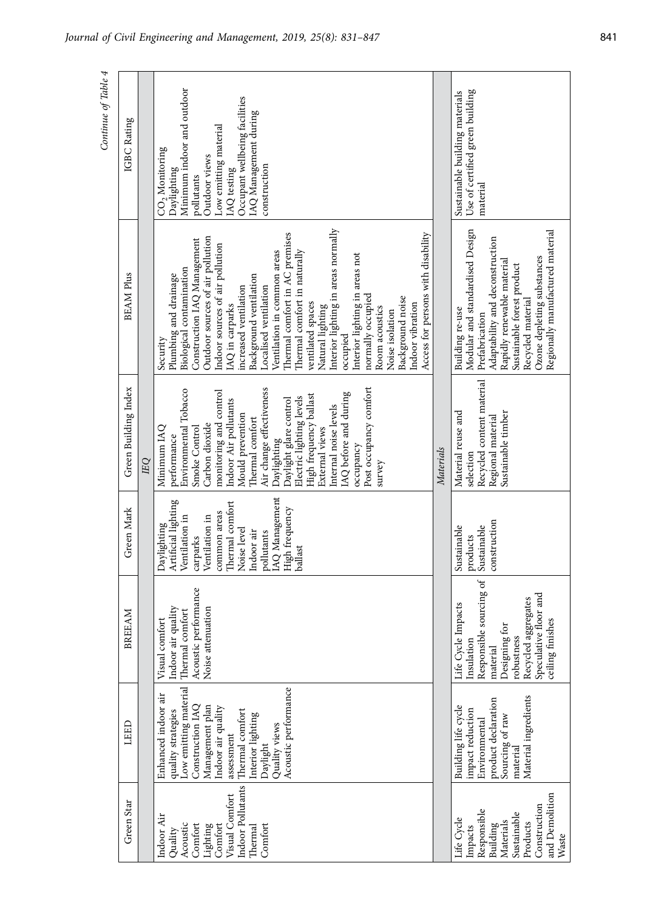| Continue of Table 4 | IGBC Rating          |   | Minimum indoor and outdoor<br>Occupant wellbeing facilities<br>IAQ Management during<br>Low emitting material<br>$CO2$ Monitoring<br>Outdoor views<br>construction<br>Daylighting<br><b>IAQ</b> testing<br>pollutants                                                                                                                                                                                                                                                                                                                                                                                                                     |           | Use of certified green building<br>Sustainable building materials<br>material                                                                                                                                                                              |
|---------------------|----------------------|---|-------------------------------------------------------------------------------------------------------------------------------------------------------------------------------------------------------------------------------------------------------------------------------------------------------------------------------------------------------------------------------------------------------------------------------------------------------------------------------------------------------------------------------------------------------------------------------------------------------------------------------------------|-----------|------------------------------------------------------------------------------------------------------------------------------------------------------------------------------------------------------------------------------------------------------------|
|                     | <b>BEAM Plus</b>     |   | Interior lighting in areas normally<br>Thermal comfort in AC premises<br>Access for persons with disability<br>Outdoor sources of air pollution<br>Construction IAQ Management<br>Indoor sources of air pollution<br>Thermal comfort in naturally<br>Ventilation in common areas<br>Interior lighting in areas not<br>Biological contamination<br>Plumbing and drainage<br>Background ventilation<br>increased ventilation<br>Localised ventilation<br>normally occupied<br>Background noise<br>ventilated spaces<br>Indoor vibration<br>IAQ in carparks<br>Natural lighting<br>Room acoustics<br>Noise isolation<br>occupied<br>Security |           | Modular and standardised Design<br>Regionally manufactured material<br>Adaptability and deconstruction<br>Ozone depleting substances<br>Rapidly renewable material<br>Sustainable forest product<br>Recycled material<br>Building re-use<br>Prefabrication |
|                     | Green Building Index | П | Post occupancy comfort<br>Air change effectiveness<br>Environmental Tobacco<br>monitoring and control<br>IAQ before and during<br>High frequency ballast<br>Electric lighting levels<br>Daylight glare control<br>Indoor Air pollutants<br>Internal noise levels<br>Mould prevention<br>Thermal comfort<br>Carbon dioxide<br>Minimum IAQ<br>Smoke Control<br>External views<br>performance<br>Daylighting<br>occupancy<br>survey                                                                                                                                                                                                          | Materials | Recycled content material<br>Material reuse and<br>Sustainable timber<br>Regional material<br>selection                                                                                                                                                    |
|                     | Green Mark           |   | IAQ Management<br>Artificial lighting<br>Thermal comfort<br>High frequency<br>common areas<br>Ventilation in<br>Ventilation in<br>Daylighting<br>Noise level<br>Indoor air<br>pollutants<br>carparks<br>ballast                                                                                                                                                                                                                                                                                                                                                                                                                           |           | construction<br>Sustainable<br>Sustainable<br>products                                                                                                                                                                                                     |
|                     | BREEAM               |   | Acoustic performance<br>Indoor air quality<br>Noise attenuation<br>Thermal comfort<br>Visual comfort                                                                                                                                                                                                                                                                                                                                                                                                                                                                                                                                      |           | Responsible sourcing of<br>Speculative floor and<br>Recycled aggregates<br>Life Cycle Impacts<br>ceiling finishes<br>Designing for<br>robustness<br>Insulation<br>material                                                                                 |
|                     | LEED                 |   | Low emitting material<br>Acoustic performance<br>Enhanced indoor air<br>Management plan<br>Construction IAQ<br>Indoor air quality<br>Thermal comfort<br>quality strategies<br>Interior lighting<br>Quality views<br>assessment<br>Daylight                                                                                                                                                                                                                                                                                                                                                                                                |           | Material ingredients<br>product declaration<br>Building life cycle<br>impact reduction<br>Sourcing of raw<br>Environmental<br>materia                                                                                                                      |
|                     | Green Star           |   | Indoor Pollutants<br>Visual Comfort<br>Indoor Air<br>Comfort<br>Acoustic<br>Comfort<br>Lighting<br>Comfort<br>Thermal<br>Quality                                                                                                                                                                                                                                                                                                                                                                                                                                                                                                          |           | and Demolition<br>Construction<br>Responsible<br>Sustainable<br>Life Cycle<br>Materials<br>Products<br>Building<br>Impacts<br>Waste                                                                                                                        |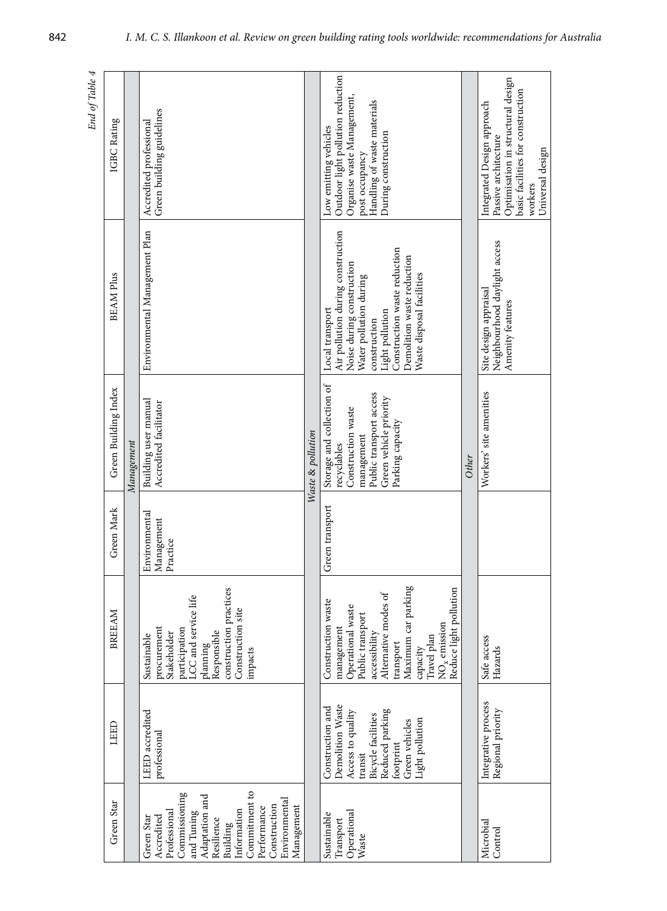| End of Table 4 |                      |            |                                                                                                                                                                                                                   |                   |                                                                                                                                                                                                                                           |       |                                                                                                                                                             |
|----------------|----------------------|------------|-------------------------------------------------------------------------------------------------------------------------------------------------------------------------------------------------------------------|-------------------|-------------------------------------------------------------------------------------------------------------------------------------------------------------------------------------------------------------------------------------------|-------|-------------------------------------------------------------------------------------------------------------------------------------------------------------|
|                | IGBC Rating          |            | Green building guidelines<br>Accredited professional                                                                                                                                                              |                   | Outdoor light pollution reduction<br>Organise waste Management,<br>Handling of waste materials<br>Low emitting vehicles<br>During construction<br>post occupancy                                                                          |       | Optimisation in structural design<br>basic facilities for construction<br>Integrated Design approach<br>Passive architecture<br>Universal design<br>workers |
|                | <b>BEAM Plus</b>     |            | Environmental Management Plan                                                                                                                                                                                     |                   | Air pollution during construction<br>Construction waste reduction<br>Demolition waste reduction<br>Noise during construction<br>Waste disposal facilities<br>Water pollution during<br>Local transport<br>Light pollution<br>construction |       | Neighbourhood daylight access<br>Site design appraisal<br>Amenity features                                                                                  |
|                | Green Building Index | Management | Building user manual<br>Accredited facilitator                                                                                                                                                                    | Waste & pollution | Storage and collection of<br>Public transport access<br>Green vehicle priority<br>Construction waste<br>Parking capacity<br>management<br>recyclables                                                                                     | Other | Workers' site amenities                                                                                                                                     |
|                | Green Mark           |            | Environmental<br>Management<br>Practice                                                                                                                                                                           |                   | Green transport                                                                                                                                                                                                                           |       |                                                                                                                                                             |
|                | BREEAM               |            | construction practices<br>LCC and service life<br>Construction site<br>procurement<br>participation<br>Responsible<br>Stakeholder<br>Sustainable<br>planning<br>impacts                                           |                   | Maximum car parking<br>Reduce light pollution<br>Alternative modes of<br>Construction waste<br>Operational waste<br>Public transport<br>$\rm{NO_x}$ emission<br>management<br>accessibility<br>Travel plan<br>transport<br>capacity       |       | Safe access<br>Hazards                                                                                                                                      |
|                | LEED                 |            | LEED accredited<br>professional                                                                                                                                                                                   |                   | Demolition Waste<br>Construction and<br>Reduced parking<br>Access to quality<br><b>Bicycle facilities</b><br>Light pollution<br>Green vehicles<br>footprint<br>$transit$                                                                  |       | Integrative process<br>Regional priority                                                                                                                    |
|                | Green Star           |            | Commitment to<br>Commissioning<br>Adaptation and<br>Environmental<br>Construction<br>Management<br>Performance<br>Information<br>and Tuning<br>Professional<br>Accredited<br>Green Star<br>Resilience<br>Building |                   | Operational<br>Sustainable<br>Transport<br>Waste                                                                                                                                                                                          |       | Microbial<br>Control                                                                                                                                        |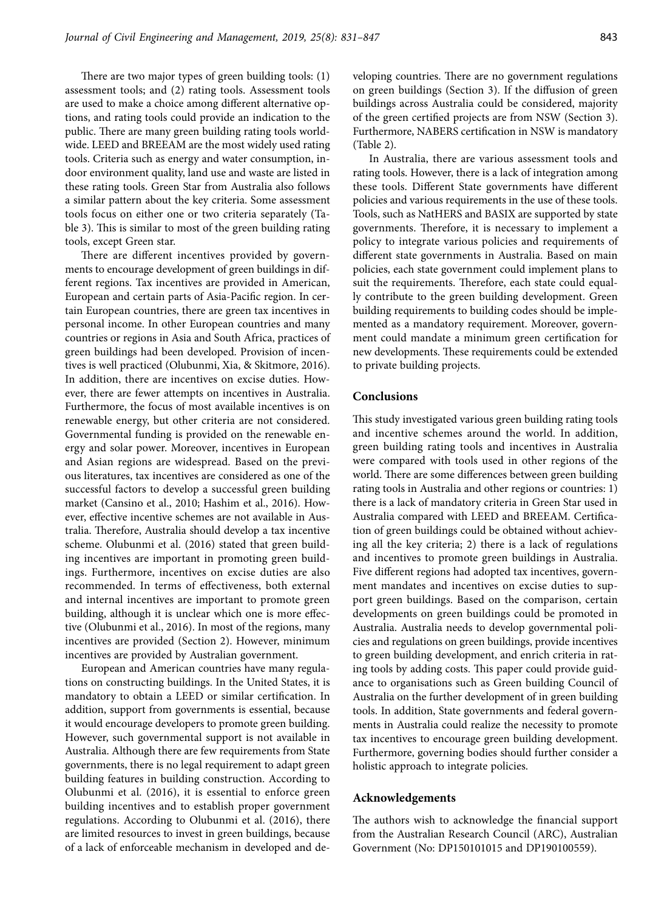There are two major types of green building tools: (1) assessment tools; and (2) rating tools. Assessment tools are used to make a choice among different alternative options, and rating tools could provide an indication to the public. There are many green building rating tools worldwide. LEED and BREEAM are the most widely used rating tools. Criteria such as energy and water consumption, indoor environment quality, land use and waste are listed in these rating tools. Green Star from Australia also follows a similar pattern about the key criteria. Some assessment tools focus on either one or two criteria separately (Table 3). This is similar to most of the green building rating tools, except Green star.

There are different incentives provided by governments to encourage development of green buildings in different regions. Tax incentives are provided in American, European and certain parts of Asia-Pacific region. In certain European countries, there are green tax incentives in personal income. In other European countries and many countries or regions in Asia and South Africa, practices of green buildings had been developed. Provision of incentives is well practiced (Olubunmi, Xia, & Skitmore, 2016). In addition, there are incentives on excise duties. However, there are fewer attempts on incentives in Australia. Furthermore, the focus of most available incentives is on renewable energy, but other criteria are not considered. Governmental funding is provided on the renewable energy and solar power. Moreover, incentives in European and Asian regions are widespread. Based on the previous literatures, tax incentives are considered as one of the successful factors to develop a successful green building market (Cansino et al., 2010; Hashim et al., 2016). However, effective incentive schemes are not available in Australia. Therefore, Australia should develop a tax incentive scheme. Olubunmi et al. (2016) stated that green building incentives are important in promoting green buildings. Furthermore, incentives on excise duties are also recommended. In terms of effectiveness, both external and internal incentives are important to promote green building, although it is unclear which one is more effective (Olubunmi et al., 2016). In most of the regions, many incentives are provided (Section 2). However, minimum incentives are provided by Australian government.

European and American countries have many regulations on constructing buildings. In the United States, it is mandatory to obtain a LEED or similar certification. In addition, support from governments is essential, because it would encourage developers to promote green building. However, such governmental support is not available in Australia. Although there are few requirements from State governments, there is no legal requirement to adapt green building features in building construction. According to Olubunmi et al. (2016), it is essential to enforce green building incentives and to establish proper government regulations. According to Olubunmi et al. (2016), there are limited resources to invest in green buildings, because of a lack of enforceable mechanism in developed and developing countries. There are no government regulations on green buildings (Section 3). If the diffusion of green buildings across Australia could be considered, majority of the green certified projects are from NSW (Section 3). Furthermore, NABERS certification in NSW is mandatory (Table 2).

In Australia, there are various assessment tools and rating tools. However, there is a lack of integration among these tools. Different State governments have different policies and various requirements in the use of these tools. Tools, such as NatHERS and BASIX are supported by state governments. Therefore, it is necessary to implement a policy to integrate various policies and requirements of different state governments in Australia. Based on main policies, each state government could implement plans to suit the requirements. Therefore, each state could equally contribute to the green building development. Green building requirements to building codes should be implemented as a mandatory requirement. Moreover, government could mandate a minimum green certification for new developments. These requirements could be extended to private building projects.

### **Conclusions**

This study investigated various green building rating tools and incentive schemes around the world. In addition, green building rating tools and incentives in Australia were compared with tools used in other regions of the world. There are some differences between green building rating tools in Australia and other regions or countries: 1) there is a lack of mandatory criteria in Green Star used in Australia compared with LEED and BREEAM. Certification of green buildings could be obtained without achieving all the key criteria; 2) there is a lack of regulations and incentives to promote green buildings in Australia. Five different regions had adopted tax incentives, government mandates and incentives on excise duties to support green buildings. Based on the comparison, certain developments on green buildings could be promoted in Australia. Australia needs to develop governmental policies and regulations on green buildings, provide incentives to green building development, and enrich criteria in rating tools by adding costs. This paper could provide guidance to organisations such as Green building Council of Australia on the further development of in green building tools. In addition, State governments and federal governments in Australia could realize the necessity to promote tax incentives to encourage green building development. Furthermore, governing bodies should further consider a holistic approach to integrate policies.

#### **Acknowledgements**

The authors wish to acknowledge the financial support from the Australian Research Council (ARC), Australian Government (No: DP150101015 and DP190100559).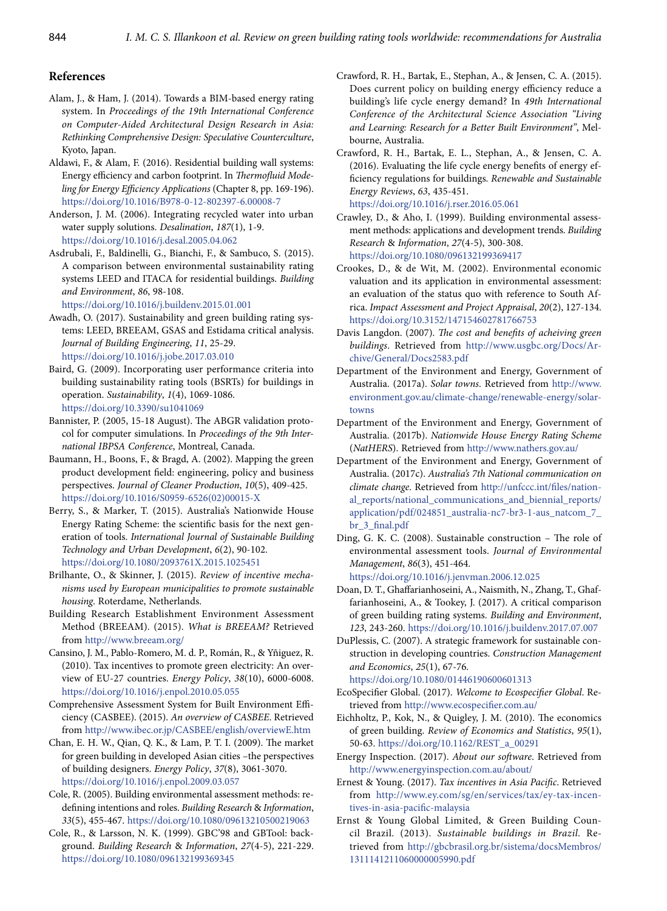# **References**

- Alam, J., & Ham, J. (2014). Towards a BIM-based energy rating system. In *Proceedings of the 19th International Conference on Computer-Aided Architectural Design Research in Asia: Rethinking Comprehensive Design: Speculative Counterculture*, Kyoto, Japan.
- Aldawi, F., & Alam, F. (2016). Residential building wall systems: Energy efficiency and carbon footprint. In *Thermofluid Modeling for Energy Efficiency Applications* (Chapter 8, pp. 169-196). https://doi.org/10.1016/B978-0-12-802397-6.00008-7
- Anderson, J. M. (2006). Integrating recycled water into urban water supply solutions. *Desalination*, *187*(1), 1-9. https://doi.org/10.1016/j.desal.2005.04.062
- Asdrubali, F., Baldinelli, G., Bianchi, F., & Sambuco, S. (2015). A comparison between environmental sustainability rating systems LEED and ITACA for residential buildings. *Building and Environment*, *86*, 98-108.

https://doi.org/10.1016/j.buildenv.2015.01.001

- Awadh, O. (2017). Sustainability and green building rating systems: LEED, BREEAM, GSAS and Estidama critical analysis. *Journal of Building Engineering*, *11*, 25-29. https://doi.org/10.1016/j.jobe.2017.03.010
- Baird, G. (2009). Incorporating user performance criteria into building sustainability rating tools (BSRTs) for buildings in operation. *Sustainability*, *1*(4), 1069-1086. https://doi.org/10.3390/su1041069
- Bannister, P. (2005, 15-18 August). The ABGR validation protocol for computer simulations. In *Proceedings of the 9th International IBPSA Conference*, Montreal, Canada.
- Baumann, H., Boons, F., & Bragd, A. (2002). Mapping the green product development field: engineering, policy and business perspectives. *Journal of Cleaner Production*, *10*(5), 409-425. https://doi.org/10.1016/S0959-6526(02)00015-X
- Berry, S., & Marker, T. (2015). Australia's Nationwide House Energy Rating Scheme: the scientific basis for the next generation of tools. *International Journal of Sustainable Building Technology and Urban Development*, *6*(2), 90-102. https://doi.org/10.1080/2093761X.2015.1025451
- Brilhante, O., & Skinner, J. (2015). *Review of incentive mechanisms used by European municipalities to promote sustainable housing*. Roterdame, Netherlands.
- Building Research Establishment Environment Assessment Method (BREEAM). (2015). *What is BREEAM?* Retrieved from http://www.breeam.org/
- Cansino, J. M., Pablo-Romero, M. d. P., Román, R., & Yñiguez, R. (2010). Tax incentives to promote green electricity: An overview of EU-27 countries. *Energy Policy*, *38*(10), 6000-6008. https://doi.org/10.1016/j.enpol.2010.05.055
- Comprehensive Assessment System for Built Environment Efficiency (CASBEE). (2015). *An overview of CASBEE*. Retrieved from <http://www.ibec.or.jp/CASBEE/english/overviewE.htm>
- Chan, E. H. W., Qian, Q. K., & Lam, P. T. I. (2009). The market for green building in developed Asian cities –the perspectives of building designers. *Energy Policy*, *37*(8), 3061-3070. https://doi.org/10.1016/j.enpol.2009.03.057
- Cole, R. (2005). Building environmental assessment methods: redefining intentions and roles. *Building Research* & *Information*, *33*(5), 455-467. https://doi.org/10.1080/09613210500219063
- Cole, R., & Larsson, N. K. (1999). GBC'98 and GBTool: background. *Building Research* & *Information*, *27*(4-5), 221-229. https://doi.org/10.1080/096132199369345
- Crawford, R. H., Bartak, E., Stephan, A., & Jensen, C. A. (2015). Does current policy on building energy efficiency reduce a building's life cycle energy demand? In *49th International Conference of the Architectural Science Association "Living and Learning: Research for a Better Built Environment"*, Melbourne, Australia.
- Crawford, R. H., Bartak, E. L., Stephan, A., & Jensen, C. A. (2016). Evaluating the life cycle energy benefits of energy efficiency regulations for buildings. *Renewable and Sustainable Energy Reviews*, *63*, 435-451. https://doi.org/10.1016/j.rser.2016.05.061
- Crawley, D., & Aho, I. (1999). Building environmental assessment methods: applications and development trends. *Building Research* & *Information*, *27*(4-5), 300-308. https://doi.org/10.1080/096132199369417
- Crookes, D., & de Wit, M. (2002). Environmental economic valuation and its application in environmental assessment: an evaluation of the status quo with reference to South Africa. *Impact Assessment and Project Appraisal*, *20*(2), 127-134. https://doi.org/10.3152/147154602781766753
- Davis Langdon. (2007). *The cost and benefits of acheiving green buildings*. Retrieved from [http://www.usgbc.org/Docs/Ar](http://www.usgbc.org/Docs/Archive/General/Docs2583.pdf)[chive/General/Docs2583.pdf](http://www.usgbc.org/Docs/Archive/General/Docs2583.pdf)
- Department of the Environment and Energy, Government of Australia. (2017a). *Solar towns*. Retrieved from [http://www.](http://www.environment.gov.au/climate-change/renewable-energy/solar-towns
) [environment.gov.au/climate-change/renewable-energy/solar](http://www.environment.gov.au/climate-change/renewable-energy/solar-towns
)[towns](http://www.environment.gov.au/climate-change/renewable-energy/solar-towns
)
- Department of the Environment and Energy, Government of Australia. (2017b). *Nationwide House Energy Rating Scheme*  (*NatHERS*). Retrieved from http://www.nathers.gov.au/
- Department of the Environment and Energy, Government of Australia. (2017c). *Australia's 7th National communication on climate change*. Retrieved from [http://unfccc.int/files/nation](http://unfccc.int/files/national_reports/national_communications_and_biennial_reports/application/pdf/024851_australia-nc7-br3-1-aus_natcom_7_br_3_final.pdf
)[al\\_reports/national\\_communications\\_and\\_biennial\\_reports/](http://unfccc.int/files/national_reports/national_communications_and_biennial_reports/application/pdf/024851_australia-nc7-br3-1-aus_natcom_7_br_3_final.pdf
) [application/pdf/024851\\_australia-nc7-br3-1-aus\\_natcom\\_7\\_](http://unfccc.int/files/national_reports/national_communications_and_biennial_reports/application/pdf/024851_australia-nc7-br3-1-aus_natcom_7_br_3_final.pdf
) [br\\_3\\_final.pdf](http://unfccc.int/files/national_reports/national_communications_and_biennial_reports/application/pdf/024851_australia-nc7-br3-1-aus_natcom_7_br_3_final.pdf
)
- Ding, G. K. C. (2008). Sustainable construction The role of environmental assessment tools. *Journal of Environmental Management*, *86*(3), 451-464. https://doi.org/10.1016/j.jenvman.2006.12.025
- Doan, D. T., Ghaffarianhoseini, A., Naismith, N., Zhang, T., Ghaffarianhoseini, A., & Tookey, J. (2017). A critical comparison of green building rating systems. *Building and Environment*, *123*, 243-260. https://doi.org/10.1016/j.buildenv.2017.07.007
- DuPlessis, C. (2007). A strategic framework for sustainable construction in developing countries. *Construction Management and Economics*, *25*(1), 67-76.
	- https://doi.org/10.1080/01446190600601313
- EcoSpecifier Global. (2017). *Welcome to Ecospecifier Global*. Retrieved from http://www.ecospecifier.com.au/
- Eichholtz, P., Kok, N., & Quigley, J. M. (2010). The economics of green building. *Review of Economics and Statistics*, *95*(1), 50-63. https://doi.org/10.1162/REST\_a\_00291
- Energy Inspection. (2017). *About our software*. Retrieved from http://www.energyinspection.com.au/about/
- Ernest & Young. (2017). *Tax incentives in Asia Pacific*. Retrieved from [http://www.ey.com/sg/en/services/tax/ey-tax-incen](http://www.ey.com/sg/en/services/tax/ey-tax-incentives-in-asia-pacific-malaysia)[tives-in-asia-pacific-malaysia](http://www.ey.com/sg/en/services/tax/ey-tax-incentives-in-asia-pacific-malaysia)
- Ernst & Young Global Limited, & Green Building Council Brazil. (2013). *Sustainable buildings in Brazil*. Retrieved from http://gbcbrasil.org.br/sistema/docsMembros/ 1311141211060000005990.pdf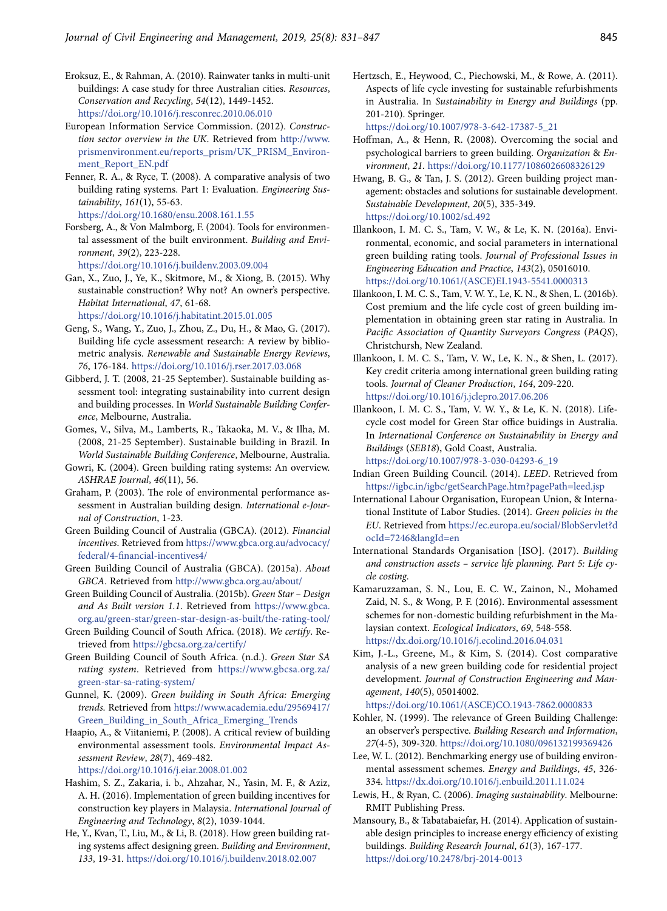- Eroksuz, E., & Rahman, A. (2010). Rainwater tanks in multi-unit buildings: A case study for three Australian cities. *Resources*, *Conservation and Recycling*, *54*(12), 1449-1452. https://doi.org/10.1016/j.resconrec.2010.06.010
- European Information Service Commission. (2012). *Construction sector overview in the UK*. Retrieved from [http://www.](http://www.prismenvironment.eu/reports_prism/UK_PRISM_Environment_Report_EN.pdf) [prismenvironment.eu/reports\\_prism/UK\\_PRISM\\_Environ](http://www.prismenvironment.eu/reports_prism/UK_PRISM_Environment_Report_EN.pdf)[ment\\_Report\\_EN.pdf](http://www.prismenvironment.eu/reports_prism/UK_PRISM_Environment_Report_EN.pdf)
- Fenner, R. A., & Ryce, T. (2008). A comparative analysis of two building rating systems. Part 1: Evaluation. *Engineering Sustainability*, *161*(1), 55-63. https://doi.org/10.1680/ensu.2008.161.1.55
- Forsberg, A., & Von Malmborg, F. (2004). Tools for environmental assessment of the built environment. *Building and Environment*, *39*(2), 223-228.
	- https://doi.org/10.1016/j.buildenv.2003.09.004
- Gan, X., Zuo, J., Ye, K., Skitmore, M., & Xiong, B. (2015). Why sustainable construction? Why not? An owner's perspective. *Habitat International*, *47*, 61-68. https://doi.org/10.1016/j.habitatint.2015.01.005
- Geng, S., Wang, Y., Zuo, J., Zhou, Z., Du, H., & Mao, G. (2017). Building life cycle assessment research: A review by bibliometric analysis. *Renewable and Sustainable Energy Reviews*, *76*, 176-184. https://doi.org/10.1016/j.rser.2017.03.068
- Gibberd, J. T. (2008, 21-25 September). Sustainable building assessment tool: integrating sustainability into current design and building processes. In *World Sustainable Building Conference*, Melbourne, Australia.
- Gomes, V., Silva, M., Lamberts, R., Takaoka, M. V., & Ilha, M. (2008, 21-25 September). Sustainable building in Brazil. In *World Sustainable Building Conference*, Melbourne, Australia.
- Gowri, K. (2004). Green building rating systems: An overview. *ASHRAE Journal*, *46*(11), 56.
- Graham, P. (2003). The role of environmental performance assessment in Australian building design. *International e-Journal of Construction*, 1-23.
- Green Building Council of Australia (GBCA). (2012). *Financial incentives*. Retrieved from https://www.gbca.org.au/advocacy/ federal/4-financial-incentives4/
- Green Building Council of Australia (GBCA). (2015a). *About GBCA*. Retrieved from http://www.gbca.org.au/about/
- Green Building Council of Australia. (2015b). *Green Star Design and As Built version 1.1*. Retrieved from [https://www.gbca.](https://www.gbca.org.au/green-star/green-star-design-as-built/the-rating-tool/) [org.au/green-star/green-star-design-as-built/the-rating-tool/](https://www.gbca.org.au/green-star/green-star-design-as-built/the-rating-tool/)
- Green Building Council of South Africa. (2018). *We certify*. Retrieved from https://gbcsa.org.za/certify/
- Green Building Council of South Africa. (n.d.). *Green Star SA rating system*. Retrieved from https://www.gbcsa.org.za/ green-star-sa-rating-system/
- Gunnel, K. (2009). *Green building in South Africa: Emerging trends*. Retrieved from [https://www.academia.edu/29569417/](https://www.academia.edu/29569417/Green_Building_in_South_Africa_Emerging_Trends) [Green\\_Building\\_in\\_South\\_Africa\\_Emerging\\_Trends](https://www.academia.edu/29569417/Green_Building_in_South_Africa_Emerging_Trends)
- Haapio, A., & Viitaniemi, P. (2008). A critical review of building environmental assessment tools. *Environmental Impact Assessment Review*, *28*(7), 469-482. https://doi.org/10.1016/j.eiar.2008.01.002
- Hashim, S. Z., Zakaria, i. b., Ahzahar, N., Yasin, M. F., & Aziz, A. H. (2016). Implementation of green building incentives for construction key players in Malaysia. *International Journal of Engineering and Technology*, *8*(2), 1039-1044.
- He, Y., Kvan, T., Liu, M., & Li, B. (2018). How green building rating systems affect designing green. *Building and Environment*, *133*, 19-31. https://doi.org/10.1016/j.buildenv.2018.02.007

Hertzsch, E., Heywood, C., Piechowski, M., & Rowe, A. (2011). Aspects of life cycle investing for sustainable refurbishments in Australia. In *Sustainability in Energy and Buildings* (pp. 201-210). Springer.

https://doi.org/10.1007/978-3-642-17387-5\_21

- Hoffman, A., & Henn, R. (2008). Overcoming the social and psychological barriers to green building. *Organization* & *Environment*, *21*. https://doi.org/10.1177/1086026608326129
- Hwang, B. G., & Tan, J. S. (2012). Green building project management: obstacles and solutions for sustainable development. *Sustainable Development*, *20*(5), 335-349. https://doi.org/10.1002/sd.492
- Illankoon, I. M. C. S., Tam, V. W., & Le, K. N. (2016a). Environmental, economic, and social parameters in international green building rating tools. *Journal of Professional Issues in Engineering Education and Practice*, *143*(2), 05016010. https://doi.org/10.1061/(ASCE)EI.1943-5541.0000313
- Illankoon, I. M. C. S., Tam, V. W. Y., Le, K. N., & Shen, L. (2016b). Cost premium and the life cycle cost of green building implementation in obtaining green star rating in Australia. In *Pacific Association of Quantity Surveyors Congress* (*PAQS*), Christchursh, New Zealand.
- Illankoon, I. M. C. S., Tam, V. W., Le, K. N., & Shen, L. (2017). Key credit criteria among international green building rating tools. *Journal of Cleaner Production*, *164*, 209-220. https://doi.org/10.1016/j.jclepro.2017.06.206
- Illankoon, I. M. C. S., Tam, V. W. Y., & Le, K. N. (2018). Lifecycle cost model for Green Star office buidings in Australia. In *International Conference on Sustainability in Energy and Buildings* (*SEB18*), Gold Coast, Australia.

https://doi.org/10.1007/978-3-030-04293-6\_19

- Indian Green Building Council. (2014). *LEED*. Retrieved from <https://igbc.in/igbc/getSearchPage.htm?pagePath=leed.jsp>
- International Labour Organisation, European Union, & International Institute of Labor Studies. (2014). *Green policies in the EU*. Retrieved from [https://ec.europa.eu/social/BlobServlet?d](https://ec.europa.eu/social/BlobServlet?docId=7246&langId=en
) [ocId=7246&langId=en](https://ec.europa.eu/social/BlobServlet?docId=7246&langId=en
)
- International Standards Organisation [ISO]. (2017). *Building and construction assets – service life planning. Part 5: Life cycle costing*.
- Kamaruzzaman, S. N., Lou, E. C. W., Zainon, N., Mohamed Zaid, N. S., & Wong, P. F. (2016). Environmental assessment schemes for non-domestic building refurbishment in the Malaysian context. *Ecological Indicators*, *69*, 548-558. <https://dx.doi.org/10.1016/j.ecolind.2016.04.031>
- Kim, J.-L., Greene, M., & Kim, S. (2014). Cost comparative analysis of a new green building code for residential project development. *Journal of Construction Engineering and Management*, *140*(5), 05014002.

https://doi.org/10.1061/(ASCE)CO.1943-7862.0000833

- Kohler, N. (1999). The relevance of Green Building Challenge: an observer's perspective. *Building Research and Information*, *27*(4-5), 309-320. <https://doi.org/10.1080/096132199369426>
- Lee, W. L. (2012). Benchmarking energy use of building environmental assessment schemes. *Energy and Buildings*, *45*, 326- 334. <https://dx.doi.org/10.1016/j.enbuild.2011.11.024>
- Lewis, H., & Ryan, C. (2006). *Imaging sustainability*. Melbourne: RMIT Publishing Press.
- Mansoury, B., & Tabatabaiefar, H. (2014). Application of sustainable design principles to increase energy efficiency of existing buildings. *Building Research Journal*, *61*(3), 167-177. https://doi.org/10.2478/brj-2014-0013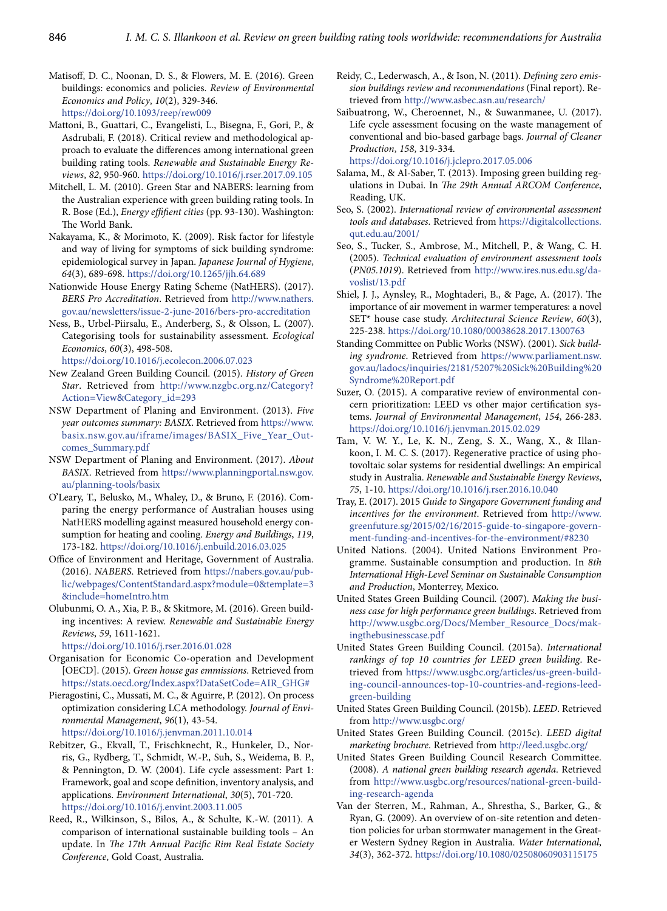- Matisoff, D. C., Noonan, D. S., & Flowers, M. E. (2016). Green buildings: economics and policies. *Review of Environmental Economics and Policy*, *10*(2), 329-346. https://doi.org/10.1093/reep/rew009
- Mattoni, B., Guattari, C., Evangelisti, L., Bisegna, F., Gori, P., & Asdrubali, F. (2018). Critical review and methodological approach to evaluate the differences among international green building rating tools. *Renewable and Sustainable Energy Reviews*, *82*, 950-960. https://doi.org/10.1016/j.rser.2017.09.105
- Mitchell, L. M. (2010). Green Star and NABERS: learning from the Australian experience with green building rating tools. In R. Bose (Ed.), *Energy effifient cities* (pp. 93-130). Washington: The World Bank.
- Nakayama, K., & Morimoto, K. (2009). Risk factor for lifestyle and way of living for symptoms of sick building syndrome: epidemiological survey in Japan. *Japanese Journal of Hygiene*, *64*(3), 689-698. https://doi.org/10.1265/jjh.64.689
- Nationwide House Energy Rating Scheme (NatHERS). (2017). *BERS Pro Accreditation*. Retrieved from [http://www.nathers.](http://www.nathers.gov.au/newsletters/issue-2-june-2016/bers-pro-accreditation) [gov.au/newsletters/issue-2-june-2016/bers-pro-accreditation](http://www.nathers.gov.au/newsletters/issue-2-june-2016/bers-pro-accreditation)
- Ness, B., Urbel-Piirsalu, E., Anderberg, S., & Olsson, L. (2007). Categorising tools for sustainability assessment. *Ecological Economics*, *60*(3), 498-508.

https://doi.org/10.1016/j.ecolecon.2006.07.023

- New Zealand Green Building Council. (2015). *History of Green Star*. Retrieved from [http://www.nzgbc.org.nz/Category?](http://www.nzgbc.org.nz/Category?Action=View&Category_id=293)  [Action=View&Category\\_id=293](http://www.nzgbc.org.nz/Category?Action=View&Category_id=293)
- NSW Department of Planing and Environment. (2013). *Five year outcomes summary: BASIX*. Retrieved from [https://www.](https://www.basix.nsw.gov.au/iframe/images/BASIX_Five_Year_Outcomes_Summary.pdf) [basix.nsw.gov.au/iframe/images/BASIX\\_Five\\_Year\\_Out](https://www.basix.nsw.gov.au/iframe/images/BASIX_Five_Year_Outcomes_Summary.pdf)[comes\\_Summary.pdf](https://www.basix.nsw.gov.au/iframe/images/BASIX_Five_Year_Outcomes_Summary.pdf)
- NSW Department of Planing and Environment. (2017). *About BASIX*. Retrieved from [https://www.planningportal.nsw.gov.](https://www.planningportal.nsw.gov.au/planning-tools/basix) [au/planning-tools/basix](https://www.planningportal.nsw.gov.au/planning-tools/basix)
- O'Leary, T., Belusko, M., Whaley, D., & Bruno, F. (2016). Comparing the energy performance of Australian houses using NatHERS modelling against measured household energy consumption for heating and cooling. *Energy and Buildings*, *119*, 173-182. https://doi.org/10.1016/j.enbuild.2016.03.025
- Office of Environment and Heritage, Government of Australia. (2016). *NABERS*. Retrieved from https://nabers.gov.au/public/webpages/ContentStandard.aspx?module=0&template=3 &include=homeIntro.htm
- Olubunmi, O. A., Xia, P. B., & Skitmore, M. (2016). Green building incentives: A review. *Renewable and Sustainable Energy Reviews*, *59*, 1611-1621.

https://doi.org/10.1016/j.rser.2016.01.028

- Organisation for Economic Co-operation and Development [OECD]. (2015). *Green house gas emmissions*. Retrieved from https://stats.oecd.org/Index.aspx?DataSetCode=AIR\_GHG#
- Pieragostini, C., Mussati, M. C., & Aguirre, P. (2012). On process optimization considering LCA methodology. *Journal of Environmental Management*, *96*(1), 43-54. https://doi.org/10.1016/j.jenvman.2011.10.014
- Rebitzer, G., Ekvall, T., Frischknecht, R., Hunkeler, D., Norris, G., Rydberg, T., Schmidt, W.-P., Suh, S., Weidema, B. P., & Pennington, D. W. (2004). Life cycle assessment: Part 1: Framework, goal and scope definition, inventory analysis, and applications. *Environment International*, *30*(5), 701-720. https://doi.org/10.1016/j.envint.2003.11.005
- Reed, R., Wilkinson, S., Bilos, A., & Schulte, K.-W. (2011). A comparison of international sustainable building tools – An update. In *The 17th Annual Pacific Rim Real Estate Society Conference*, Gold Coast, Australia.
- Reidy, C., Lederwasch, A., & Ison, N. (2011). *Defining zero emission buildings review and recommendations* (Final report). Retrieved from <http://www.asbec.asn.au/research/>
- Saibuatrong, W., Cheroennet, N., & Suwanmanee, U. (2017). Life cycle assessment focusing on the waste management of conventional and bio-based garbage bags. *Journal of Cleaner Production*, *158*, 319-334. https://doi.org/10.1016/j.jclepro.2017.05.006
- Salama, M., & Al-Saber, T. (2013). Imposing green building regulations in Dubai. In *The 29th Annual ARCOM Conference*, Reading, UK.
- Seo, S. (2002). *International review of environmental assessment tools and databases*. Retrieved from https://digitalcollections. qut.edu.au/2001/
- Seo, S., Tucker, S., Ambrose, M., Mitchell, P., & Wang, C. H. (2005). *Technical evaluation of environment assessment tools*  (*PN05.1019*). Retrieved from http://www.ires.nus.edu.sg/davoslist/13.pdf
- Shiel, J. J., Aynsley, R., Moghtaderi, B., & Page, A. (2017). The importance of air movement in warmer temperatures: a novel SET\* house case study. *Architectural Science Review*, *60*(3), 225-238. https://doi.org/10.1080/00038628.2017.1300763
- Standing Committee on Public Works (NSW). (2001). *Sick building syndrome*. Retrieved from https://www.parliament.nsw. gov.au/ladocs/inquiries/2181/5207%20Sick%20Building%20 Syndrome%20Report.pdf
- Suzer, O. (2015). A comparative review of environmental concern prioritization: LEED vs other major certification systems. *Journal of Environmental Management*, *154*, 266-283. https://doi.org/10.1016/j.jenvman.2015.02.029
- Tam, V. W. Y., Le, K. N., Zeng, S. X., Wang, X., & Illankoon, I. M. C. S. (2017). Regenerative practice of using photovoltaic solar systems for residential dwellings: An empirical study in Australia. *Renewable and Sustainable Energy Reviews*, *75*, 1-10. https://doi.org/10.1016/j.rser.2016.10.040
- Tray, E. (2017). 2015 *Guide to Singapore Government funding and incentives for the environment*. Retrieved from [http://www.](http://www.greenfuture.sg/2015/02/16/2015-guide-to-singapore-government-funding-and-incentives-for-the-environment/#8230) [greenfuture.sg/2015/02/16/2015-guide-to-singapore-govern](http://www.greenfuture.sg/2015/02/16/2015-guide-to-singapore-government-funding-and-incentives-for-the-environment/#8230)[ment-funding-and-incentives-for-the-environment/#8230](http://www.greenfuture.sg/2015/02/16/2015-guide-to-singapore-government-funding-and-incentives-for-the-environment/#8230)
- United Nations. (2004). United Nations Environment Programme. Sustainable consumption and production. In *8th International High-Level Seminar on Sustainable Consumption and Production*, Monterrey, Mexico.
- United States Green Building Council. (2007). *Making the business case for high performance green buildings*. Retrieved from [http://www.usgbc.org/Docs/Member\\_Resource\\_Docs/mak](http://www.usgbc.org/Docs/Member_Resource_Docs/makingthebusinesscase.pdf)[ingthebusinesscase.pdf](http://www.usgbc.org/Docs/Member_Resource_Docs/makingthebusinesscase.pdf)
- United States Green Building Council. (2015a). *International rankings of top 10 countries for LEED green building*. Retrieved from [https://www.usgbc.org/articles/us-green-build](https://www.usgbc.org/articles/us-green-building-council-announces-top-10-countries-and-regions-leed-green-building)[ing-council-announces-top-10-countries-and-regions-leed](https://www.usgbc.org/articles/us-green-building-council-announces-top-10-countries-and-regions-leed-green-building)[green-building](https://www.usgbc.org/articles/us-green-building-council-announces-top-10-countries-and-regions-leed-green-building)
- United States Green Building Council. (2015b). *LEED*. Retrieved from http://www.usgbc.org/
- United States Green Building Council. (2015c). *LEED digital marketing brochure*. Retrieved from http://leed.usgbc.org/
- United States Green Building Council Research Committee. (2008). *A national green building research agenda*. Retrieved from [http://www.usgbc.org/resources/national-green-build](http://www.usgbc.org/resources/national-green-building-research-agenda)[ing-research-agenda](http://www.usgbc.org/resources/national-green-building-research-agenda)
- Van der Sterren, M., Rahman, A., Shrestha, S., Barker, G., & Ryan, G. (2009). An overview of on-site retention and detention policies for urban stormwater management in the Greater Western Sydney Region in Australia. *Water International*, *34*(3), 362-372. https://doi.org/10.1080/02508060903115175